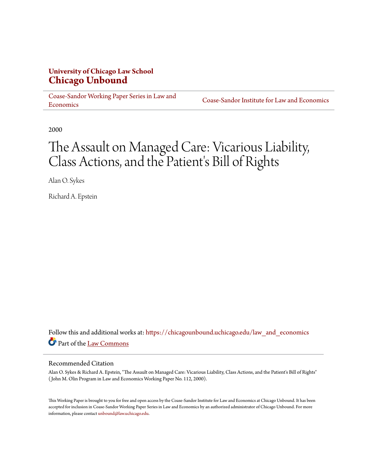#### **University of Chicago Law School [Chicago Unbound](https://chicagounbound.uchicago.edu?utm_source=chicagounbound.uchicago.edu%2Flaw_and_economics%2F489&utm_medium=PDF&utm_campaign=PDFCoverPages)**

[Coase-Sandor Working Paper Series in Law and](https://chicagounbound.uchicago.edu/law_and_economics?utm_source=chicagounbound.uchicago.edu%2Flaw_and_economics%2F489&utm_medium=PDF&utm_campaign=PDFCoverPages) [Economics](https://chicagounbound.uchicago.edu/law_and_economics?utm_source=chicagounbound.uchicago.edu%2Flaw_and_economics%2F489&utm_medium=PDF&utm_campaign=PDFCoverPages)

[Coase-Sandor Institute for Law and Economics](https://chicagounbound.uchicago.edu/coase_sandor_institute?utm_source=chicagounbound.uchicago.edu%2Flaw_and_economics%2F489&utm_medium=PDF&utm_campaign=PDFCoverPages)

2000

# The Assault on Managed Care: Vicarious Liability, Class Actions, and the Patient's Bill of Rights

Alan O. Sykes

Richard A. Epstein

Follow this and additional works at: [https://chicagounbound.uchicago.edu/law\\_and\\_economics](https://chicagounbound.uchicago.edu/law_and_economics?utm_source=chicagounbound.uchicago.edu%2Flaw_and_economics%2F489&utm_medium=PDF&utm_campaign=PDFCoverPages) Part of the [Law Commons](http://network.bepress.com/hgg/discipline/578?utm_source=chicagounbound.uchicago.edu%2Flaw_and_economics%2F489&utm_medium=PDF&utm_campaign=PDFCoverPages)

#### Recommended Citation

Alan O. Sykes & Richard A. Epstein, "The Assault on Managed Care: Vicarious Liability, Class Actions, and the Patient's Bill of Rights" ( John M. Olin Program in Law and Economics Working Paper No. 112, 2000).

This Working Paper is brought to you for free and open access by the Coase-Sandor Institute for Law and Economics at Chicago Unbound. It has been accepted for inclusion in Coase-Sandor Working Paper Series in Law and Economics by an authorized administrator of Chicago Unbound. For more information, please contact [unbound@law.uchicago.edu.](mailto:unbound@law.uchicago.edu)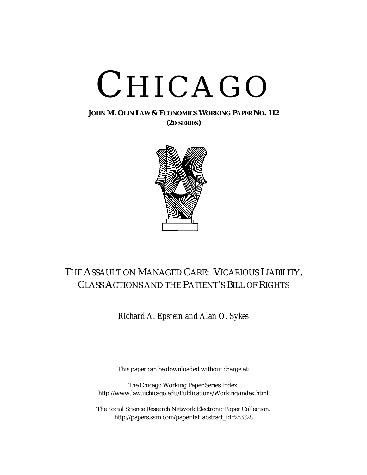# C HICAGO

#### **JOHN M. OLIN LAW & ECONOMICS WORKING PAPER NO. 112 (2D SERIES)**



## THE ASSAULT ON MANAGED CARE: VICARIOUS LIABILITY, CLASS ACTIONS AND THE PATIENT'S BILL OF RIGHTS

*Richard A. Epstein and Alan O. Sykes* 

This paper can be downloaded without charge at:

The Chicago Working Paper Series Index: <http://www.law.uchicago.edu/Publications/Working/index.html>

The Social Science Research Network Electronic Paper Collection: [http://papers.ssrn.com/paper.taf?abstract\\_id=253328](http://papers.ssrn.com/sol3/search.taf)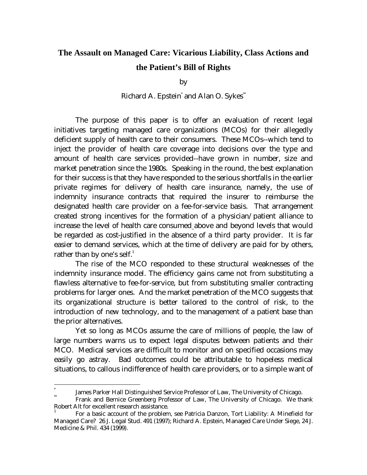### **The Assault on Managed Care: Vicarious Liability, Class Actions and the Patient's Bill of Rights**

by

#### Richard A. Epstein' and Alan O. Sykes"

The purpose of this paper is to offer an evaluation of recent legal initiatives targeting managed care organizations (MCOs) for their allegedly deficient supply of health care to their consumers. These MCOs--which tend to inject the provider of health care coverage into decisions over the type and amount of health care services provided--have grown in number, size and market penetration since the 1980s. Speaking in the round, the best explanation for their success is that they have responded to the serious shortfalls in the earlier private regimes for delivery of health care insurance, namely, the use of indemnity insurance contracts that required the insurer to reimburse the designated health care provider on a fee-for-service basis. That arrangement created strong incentives for the formation of a physician/patient alliance to increase the level of health care consumed above and beyond levels that would be regarded as cost-justified in the absence of a third party provider. It is far easier to demand services, which at the time of delivery are paid for by others, rather than by one's self. $^1$ 

The rise of the MCO responded to these structural weaknesses of the indemnity insurance model. The efficiency gains came not from substituting a flawless alternative to fee-for-service, but from substituting smaller contracting problems for larger ones. And the market penetration of the MCO suggests that its organizational structure is better tailored to the control of risk, to the introduction of new technology, and to the management of a patient base than the prior alternatives.

Yet so long as MCOs assume the care of millions of people, the law of large numbers warns us to expect legal disputes between patients and their MCO. Medical services are difficult to monitor and on specified occasions may easily go astray. Bad outcomes could be attributable to hopeless medical situations, to callous indifference of health care providers, or to a simple want of

<sup>\*</sup> James Parker Hall Distinguished Service Professor of Law, The University of Chicago.

<sup>\*\*</sup> Frank and Bernice Greenberg Professor of Law, The University of Chicago. We thank Robert Alt for excellent research assistance.

<sup>1</sup> For a basic account of the problem, see Patricia Danzon, Tort Liability: A Minefield for Managed Care? 26 J. Legal Stud. 491 (1997); Richard A. Epstein, Managed Care Under Siege, 24 J. Medicine & Phil. 434 (1999).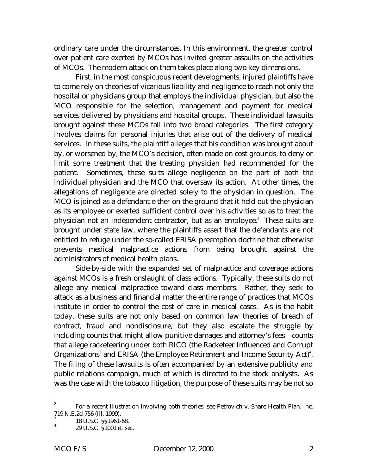ordinary care under the circumstances. In this environment, the greater control over patient care exerted by MCOs has invited greater assaults on the activities of MCOs. The modern attack on them takes place along two key dimensions.

First, in the most conspicuous recent developments, injured plaintiffs have to come rely on theories of vicarious liability and negligence to reach not only the hospital or physicians group that employs the individual physician, but also the MCO responsible for the selection, management and payment for medical services delivered by physicians and hospital groups. These individual lawsuits brought against these MCOs fall into two broad categories. The first category involves claims for personal injuries that arise out of the delivery of medical services. In these suits, the plaintiff alleges that his condition was brought about by, or worsened by, the MCO's decision, often made on cost grounds, to deny or limit some treatment that the treating physician had recommended for the patient. Sometimes, these suits allege negligence on the part of both the individual physician and the MCO that oversaw its action. At other times, the allegations of negligence are directed solely to the physician in question. The MCO is joined as a defendant either on the ground that it held out the physician as its employee or exerted sufficient control over his activities so as to treat the physician not an independent contractor, but as an employee.<sup>2</sup> These suits are brought under state law, where the plaintiffs assert that the defendants are not entitled to refuge under the so-called ERISA preemption doctrine that otherwise prevents medical malpractice actions from being brought against the administrators of medical health plans.

Side-by-side with the expanded set of malpractice and coverage actions against MCOs is a fresh onslaught of class actions. Typically, these suits do not allege any medical malpractice toward class members. Rather, they seek to attack as a business and financial matter the entire range of practices that MCOs institute in order to control the cost of care in medical cases. As is the habit today, these suits are not only based on common law theories of breach of contract, fraud and nondisclosure, but they also escalate the struggle by including counts that might allow punitive damages and attorney's fees—counts that allege racketeering under both RICO (the Racketeer Influenced and Corrupt Organizations<sup>3</sup> and ERISA (the Employee Retirement and Income Security Act)<sup>4</sup>. The filing of these lawsuits is often accompanied by an extensive publicity and public relations campaign, much of which is directed to the stock analysts. As was the case with the tobacco litigation, the purpose of these suits may be not so

<sup>2</sup> For a recent illustration involving both theories, see Petrovich v. Share Health Plan. Inc. 719 N.E.2d 756 (Ill. 1999). 3

 <sup>18</sup> U.S.C. §§1961-68.

<sup>4</sup> 29 U.S.C. §1001 *et. seq*.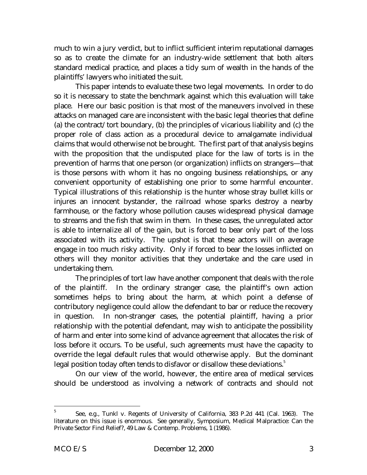much to win a jury verdict, but to inflict sufficient interim reputational damages so as to create the climate for an industry-wide settlement that both alters standard medical practice, and places a tidy sum of wealth in the hands of the plaintiffs' lawyers who initiated the suit.

This paper intends to evaluate these two legal movements. In order to do so it is necessary to state the benchmark against which this evaluation will take place. Here our basic position is that most of the maneuvers involved in these attacks on managed care are inconsistent with the basic legal theories that define (a) the contract/tort boundary, (b) the principles of vicarious liability and (c) the proper role of class action as a procedural device to amalgamate individual claims that would otherwise not be brought. The first part of that analysis begins with the proposition that the undisputed place for the law of torts is in the prevention of harms that one person (or organization) inflicts on strangers—that is those persons with whom it has no ongoing business relationships, or any convenient opportunity of establishing one prior to some harmful encounter. Typical illustrations of this relationship is the hunter whose stray bullet kills or injures an innocent bystander, the railroad whose sparks destroy a nearby farmhouse, or the factory whose pollution causes widespread physical damage to streams and the fish that swim in them. In these cases, the unregulated actor is able to internalize all of the gain, but is forced to bear only part of the loss associated with its activity. The upshot is that these actors will on average engage in too much risky activity. Only if forced to bear the losses inflicted on others will they monitor activities that they undertake and the care used in undertaking them.

The principles of tort law have another component that deals with the role of the plaintiff. In the ordinary stranger case, the plaintiff's own action sometimes helps to bring about the harm, at which point a defense of contributory negligence could allow the defendant to bar or reduce the recovery in question. In non-stranger cases, the potential plaintiff, having a prior relationship with the potential defendant, may wish to anticipate the possibility of harm and enter into some kind of advance agreement that allocates the risk of loss before it occurs. To be useful, such agreements must have the capacity to override the legal default rules that would otherwise apply. But the dominant legal position today often tends to disfavor or disallow these deviations. $^5$ 

On our view of the world, however, the entire area of medical services should be understood as involving a network of contracts and should not

<sup>5</sup> See, e.g., Tunkl v. Regents of University of California, 383 P.2d 441 (Cal. 1963). The literature on this issue is enormous. See generally, Symposium, Medical Malpractice: Can the Private Sector Find Relief?, 49 Law & Contemp. Problems, 1 (1986).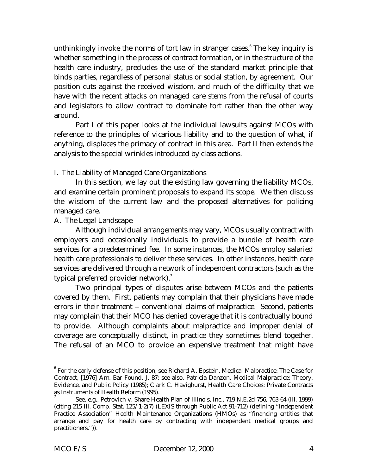unthinkingly invoke the norms of tort law in stranger cases.<sup>6</sup> The key inquiry is whether something in the process of contract formation, or in the structure of the health care industry, precludes the use of the standard market principle that binds parties, regardless of personal status or social station, by agreement. Our position cuts against the received wisdom, and much of the difficulty that we have with the recent attacks on managed care stems from the refusal of courts and legislators to allow contract to dominate tort rather than the other way around.

Part I of this paper looks at the individual lawsuits against MCOs with reference to the principles of vicarious liability and to the question of what, if anything, displaces the primacy of contract in this area. Part II then extends the analysis to the special wrinkles introduced by class actions.

#### I. The Liability of Managed Care Organizations

 In this section, we lay out the existing law governing the liability MCOs, and examine certain prominent proposals to expand its scope. We then discuss the wisdom of the current law and the proposed alternatives for policing managed care.

#### A. The Legal Landscape

 Although individual arrangements may vary, MCOs usually contract with employers and occasionally individuals to provide a bundle of health care services for a predetermined fee. In some instances, the MCOs employ salaried health care professionals to deliver these services. In other instances, health care services are delivered through a network of independent contractors (such as the typical preferred provider network).<sup>7</sup>

 Two principal types of disputes arise between MCOs and the patients covered by them. First, patients may complain that their physicians have made errors in their treatment -- conventional claims of malpractice. Second, patients may complain that their MCO has denied coverage that it is contractually bound to provide. Although complaints about malpractice and improper denial of coverage are conceptually distinct, in practice they sometimes blend together. The refusal of an MCO to provide an expensive treatment that might have

 6 For the early defense of this position, see Richard A. Epstein, Medical Malpractice: The Case for Contract, [1976] Am. Bar Found. J. 87; see also, Patricia Danzon, Medical Malpractice: Theory, Evidence, and Public Policy (1985); Clark C. Havighurst, Health Care Choices: Private Contracts as Instruments of Health Reform (1995).

<sup>7</sup> See, e.g., Petrovich v. Share Health Plan of Illinois, Inc., 719 N.E.2d 756, 763-64 (Ill. 1999) (citing 215 Ill. Comp. Stat. 125/1-2(7) (LEXIS through Public Act 91-712) (defining "Independent Practice Association" Health Maintenance Organizations (HMOs) as "financing entities that arrange and pay for health care by contracting with independent medical groups and practitioners.")).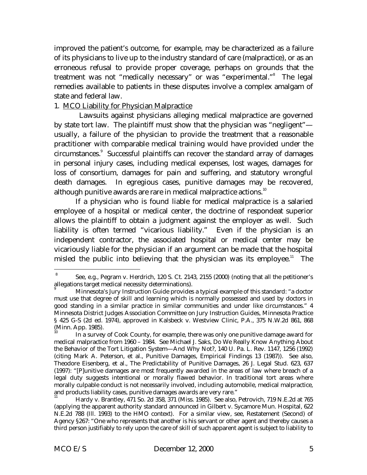improved the patient's outcome, for example, may be characterized as a failure of its physicians to live up to the industry standard of care (malpractice), or as an erroneous refusal to provide proper coverage, perhaps on grounds that the treatment was not "medically necessary" or was "experimental."<sup>8</sup> The legal remedies available to patients in these disputes involve a complex amalgam of state and federal law.

#### 1. MCO Liability for Physician Malpractice

 Lawsuits against physicians alleging medical malpractice are governed by state tort law. The plaintiff must show that the physician was "negligent" usually, a failure of the physician to provide the treatment that a reasonable practitioner with comparable medical training would have provided under the circumstances.<sup>9</sup> Successful plaintiffs can recover the standard array of damages in personal injury cases, including medical expenses, lost wages, damages for loss of consortium, damages for pain and suffering, and statutory wrongful death damages. In egregious cases, punitive damages may be recovered, although punitive awards are rare in medical malpractice actions. $^{\scriptscriptstyle{10}}$ 

 If a physician who is found liable for medical malpractice is a salaried employee of a hospital or medical center, the doctrine of respondeat superior allows the plaintiff to obtain a judgment against the employer as well. Such liability is often termed "vicarious liability." Even if the physician is an independent contractor, the associated hospital or medical center may be vicariously liable for the physician if an argument can be made that the hospital misled the public into believing that the physician was its employee.<sup>11</sup> The

 $\overline{a}$ 

<sup>8</sup> See, e.g., Pegram v. Herdrich, 120 S. Ct. 2143, 2155 (2000) (noting that all the petitioner's allegations target medical necessity determinations).

<sup>9</sup> Minnesota's Jury Instruction Guide provides a typical example of this standard: "a doctor must use that degree of skill and learning which is normally possessed and used by doctors in good standing in a similar practice in similar communities and under like circumstances." 4 Minnesota District Judges Association Committee on Jury Instruction Guides, Minnesota Practice § 425 G-S (2d ed. 1974), approved in Kalsbeck v. Westview Clinic, P.A., 375 N.W.2d 861, 868 (Minn. App. 1985).

In a survey of Cook County, for example, there was only one punitive damage award for medical malpractice from 1960 – 1984. See Michael J. Saks, Do We Really Know Anything About the Behavior of the Tort Litigation System—And Why Not?, 140 U. Pa. L. Rev. 1147, 1256 (1992) (citing Mark A. Peterson, et al., Punitive Damages, Empirical Findings 13 (1987)). See also, Theodore Eisenberg, et al., The Predictability of Punitive Damages, 26 J. Legal Stud. 623, 637 (1997): "[P]unitive damages are most frequently awarded in the areas of law where breach of a legal duty suggests intentional or morally flawed behavior. In traditional tort areas where morally culpable conduct is not necessarily involved, including automobile, medical malpractice, and products liability cases, punitive damages awards are very rare."

<sup>11</sup> Hardy v. Brantley, 471 So. 2d 358, 371 (Miss. 1985). See also, Petrovich, 719 N.E.2d at 765 (applying the apparent authority standard announced in Gilbert v. Sycamore Mun. Hospital, 622 N.E.2d 788 (Ill. 1993) to the HMO context). For a similar view, see, Restatement (Second) of Agency §267: "One who represents that another is his servant or other agent and thereby causes a third person justifiably to rely upon the care of skill of such apparent agent is subject to liability to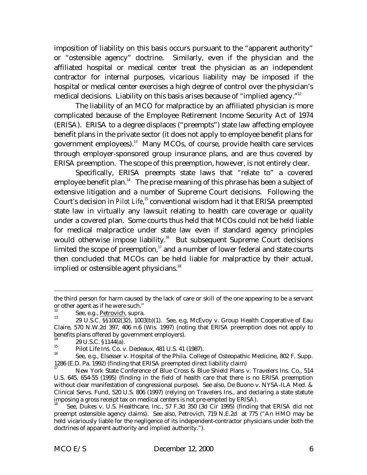imposition of liability on this basis occurs pursuant to the "apparent authority" or "ostensible agency" doctrine. Similarly, even if the physician and the affiliated hospital or medical center treat the physician as an independent contractor for internal purposes, vicarious liability may be imposed if the hospital or medical center exercises a high degree of control over the physician's medical decisions. Liability on this basis arises because of "implied agency."<sup>12</sup>

 The liability of an MCO for malpractice by an affiliated physician is more complicated because of the Employee Retirement Income Security Act of 1974 (ERISA). ERISA to a degree displaces ("preempts") state law affecting employee benefit plans in the private sector (it does not apply to employee benefit plans for government employees).<sup>13</sup> Many MCOs, of course, provide health care services through employer-sponsored group insurance plans, and are thus covered by ERISA preemption. The scope of this preemption, however, is not entirely clear.

 Specifically, ERISA preempts state laws that "relate to" a covered employee benefit plan. $14$  The precise meaning of this phrase has been a subject of extensive litigation and a number of Supreme Court decisions. Following the Court's decision in *Pilot Life*,<sup>15</sup> conventional wisdom had it that ERISA preempted state law in virtually any lawsuit relating to health care coverage or quality under a covered plan. Some courts thus held that MCOs could not be held liable for medical malpractice under state law even if standard agency principles would otherwise impose liability.<sup>16</sup> But subsequent Supreme Court decisions limited the scope of preemption, $i^{\dagger}$  and a number of lower federal and state courts then concluded that MCOs can be held liable for malpractice by their actual, implied or ostensible agent physicians.<sup>18</sup>

 $\overline{a}$ 

the third person for harm caused by the lack of care or skill of the one appearing to be a servant or other agent as if he were such."

<sup>&</sup>lt;sup>12</sup> See, e.g., <u>Petrovich</u>, supra.<br><sup>13</sup> 29 U.S.C. §§1002(32), 1003(b)(1). See, e.g, McEvoy v. Group Health Cooperative of Eau Claire, 570 N.W.2d 397, 406 n.6 (Wis. 1997) (noting that ERISA preemption does not apply to benefits plans offered by government employers).

<sup>&</sup>lt;sup>14</sup> 29 U.S.C. §1144(a).<br>
Pilot Life Ins. Co. v. Dedeaux, 481 U.S. 41 (1987).<br>
See, e.g., Elsesser v. Hospital of the Phila. College of Osteopathic Medicine, 802 F. Supp. 1286 (E.D. Pa. 1992) (finding that ERISA preempted direct liability claim)

New York State Conference of Blue Cross & Blue Shield Plans v. Travelers Ins. Co., 514 U.S. 645, 654-55 (1995) (finding in the field of health care that there is no ERISA preemption without clear manifestation of congressional purpose). See also, De Buono v. NYSA-ILA Med. & Clinical Servs. Fund, 520 U.S. 806 (1997) (relying on Travelers Ins., and declaring a state statute imposing a gross receipt tax on medical centers is not pre-empted by ERISA).

See, Dukes v. U.S. Healthcare, Inc., 57 F.3d 350 (3d Cir 1995) (finding that ERISA did not preempt ostensible agency claims). See also, Petrovich, 719 N.E.2d at 775 ("An HMO may be held vicariously liable for the negligence of its independent-contractor physicians under both the doctrines of apparent authority and implied authority.").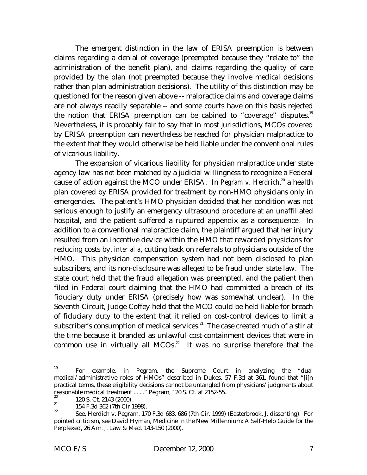The emergent distinction in the law of ERISA preemption is between claims regarding a denial of coverage (preempted because they "relate to" the administration of the benefit plan), and claims regarding the quality of care provided by the plan (not preempted because they involve medical decisions rather than plan administration decisions). The utility of this distinction may be questioned for the reason given above -- malpractice claims and coverage claims are not always readily separable -- and some courts have on this basis rejected the notion that ERISA preemption can be cabined to "coverage" disputes.<sup>19</sup> Nevertheless, it is probably fair to say that in most jurisdictions, MCOs covered by ERISA preemption can nevertheless be reached for physician malpractice to the extent that they would otherwise be held liable under the conventional rules of vicarious liability.

 The expansion of vicarious liability for physician malpractice under state agency law has *not* been matched by a judicial willingness to recognize a Federal cause of action against the MCO under ERISA. In *Pegram v. Herdrich*,<sup>20</sup> a health plan covered by ERISA provided for treatment by non-HMO physicians only in emergencies. The patient's HMO physician decided that her condition was not serious enough to justify an emergency ultrasound procedure at an unaffiliated hospital, and the patient suffered a ruptured appendix as a consequence. In addition to a conventional malpractice claim, the plaintiff argued that her injury resulted from an incentive device within the HMO that rewarded physicians for reducing costs by, *inter alia*, cutting back on referrals to physicians outside of the HMO. This physician compensation system had not been disclosed to plan subscribers, and its non-disclosure was alleged to be fraud under state law. The state court held that the fraud allegation was preempted, and the patient then filed in Federal court claiming that the HMO had committed a breach of its fiduciary duty under ERISA (precisely how was somewhat unclear). In the Seventh Circuit, Judge Coffey held that the MCO could be held liable for breach of fiduciary duty to the extent that it relied on cost-control devices to limit a subscriber's consumption of medical services.<sup>21</sup> The case created much of a stir at the time because it branded as unlawful cost-containment devices that were in common use in virtually all  $MCOs.<sup>22</sup>$  It was no surprise therefore that the

<sup>19</sup> For example, in Pegram, the Supreme Court in analyzing the "dual medical/administrative roles of HMOs" described in Dukes, 57 F.3d at 361, found that "[i]n practical terms, these eligibility decisions cannot be untangled from physicians' judgments about reasonable medical treatment . . . ." Pegram, 120 S. Ct. at 2152-55.

 $\begin{array}{ll} \vspace{20} & 120 \text{ S. Ct. 2143 (2000).} \ \vspace{21} & 154 \text{ F.3d 362 (7th Cir 1998).} \ \vspace{22} & \text{See, Herdich v. Pegram, 170 F.3d 683, 686 (7th Cir. 1999) (Easterbrook, J. dissenting). For} \ \end{array}$ pointed criticism, see David Hyman, Medicine in the New Millennium: A Self-Help Guide for the Perplexed, 26 Am. J. Law & Med. 143-150 (2000).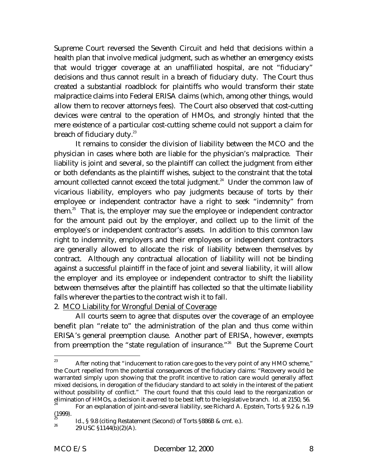Supreme Court reversed the Seventh Circuit and held that decisions within a health plan that involve medical judgment, such as whether an emergency exists that would trigger coverage at an unaffiliated hospital, are not "fiduciary" decisions and thus cannot result in a breach of fiduciary duty. The Court thus created a substantial roadblock for plaintiffs who would transform their state malpractice claims into Federal ERISA claims (which, among other things, would allow them to recover attorneys fees). The Court also observed that cost-cutting devices were central to the operation of HMOs, and strongly hinted that the mere existence of a particular cost-cutting scheme could not support a claim for breach of fiduciary duty. $23$ 

 It remains to consider the division of liability between the MCO and the physician in cases where both are liable for the physician's malpractice. Their liability is joint and several, so the plaintiff can collect the judgment from either or both defendants as the plaintiff wishes, subject to the constraint that the total amount collected cannot exceed the total judgment.<sup>24</sup> Under the common law of vicarious liability, employers who pay judgments because of torts by their employee or independent contractor have a right to seek "indemnity" from them.<sup>25</sup> That is, the employer may sue the employee or independent contractor for the amount paid out by the employer, and collect up to the limit of the employee's or independent contractor's assets. In addition to this common law right to indemnity, employers and their employees or independent contractors are generally allowed to allocate the risk of liability between themselves by contract. Although any contractual allocation of liability will not be binding against a successful plaintiff in the face of joint and several liability, it will allow the employer and its employee or independent contractor to shift the liability between themselves after the plaintiff has collected so that the ultimate liability falls wherever the parties to the contract wish it to fall.

2. MCO Liability for Wrongful Denial of Coverage

 All courts seem to agree that disputes over the coverage of an employee benefit plan "relate to" the administration of the plan and thus come within ERISA's general preemption clause. Another part of ERISA, however, exempts from preemption the "state regulation of insurance."<sup>26</sup> But the Supreme Court

<sup>23</sup> After noting that "inducement to ration care goes to the very point of any HMO scheme," the Court repelled from the potential consequences of the fiduciary claims: "Recovery would be warranted simply upon showing that the profit incentive to ration care would generally affect mixed decisions, in derogation of the fiduciary standard to act solely in the interest of the patient without possibility of conflict." The court found that this could lead to the reorganization or elimination of HMOs, a decision it averred to be best left to the legislative branch. Id. at 2150, 56.

<sup>24</sup> For an explanation of joint-and-several liability, see Richard A. Epstein, Torts § 9.2 & n.19  $(1999)$ .

<sup>&</sup>lt;sup>25</sup> Id., § 9.8 (citing Restatement (Second) of Torts §886B & cmt. e.).<br>29 USC §1144(b)(2)(A).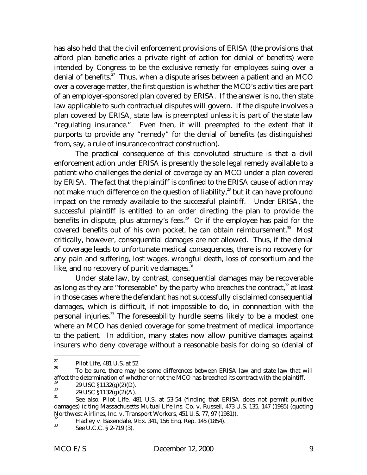has also held that the civil enforcement provisions of ERISA (the provisions that afford plan beneficiaries a private right of action for denial of benefits) were intended by Congress to be the exclusive remedy for employees suing over a denial of benefits.<sup>27</sup> Thus, when a dispute arises between a patient and an MCO over a coverage matter, the first question is whether the MCO's activities are part of an employer-sponsored plan covered by ERISA. If the answer is no, then state law applicable to such contractual disputes will govern. If the dispute involves a plan covered by ERISA, state law is preempted unless it is part of the state law "regulating insurance." Even then, it will preempted to the extent that it purports to provide any "remedy" for the denial of benefits (as distinguished from, say, a rule of insurance contract construction).

 The practical consequence of this convoluted structure is that a civil enforcement action under ERISA is presently the sole legal remedy available to a patient who challenges the denial of coverage by an MCO under a plan covered by ERISA. The fact that the plaintiff is confined to the ERISA cause of action may not make much difference on the question of liability, $28$  but it can have profound impact on the remedy available to the successful plaintiff. Under ERISA, the successful plaintiff is entitled to an order directing the plan to provide the benefits in dispute, plus attorney's fees. $29$  Or if the employee has paid for the covered benefits out of his own pocket, he can obtain reimbursement.<sup>30</sup> Most critically, however, consequential damages are not allowed. Thus, if the denial of coverage leads to unfortunate medical consequences, there is no recovery for any pain and suffering, lost wages, wrongful death, loss of consortium and the like, and no recovery of punitive damages. $31$ 

 Under state law, by contrast, consequential damages may be recoverable as long as they are "foreseeable" by the party who breaches the contract, $32$  at least in those cases where the defendant has not successfully disclaimed consequential damages, which is difficult, if not impossible to do, in connnection with the personal injuries.<sup>33</sup> The foreseeability hurdle seems likely to be a modest one where an MCO has denied coverage for some treatment of medical importance to the patient. In addition, many states now allow punitive damages against insurers who deny coverage without a reasonable basis for doing so (denial of

 $27\,$  $\frac{27}{28}$  Pilot Life, 481 U.S. at 52.

<sup>28</sup> To be sure, there may be some differences between ERISA law and state law that will affect the determination of whether or not the MCO has breached its contract with the plaintiff.

<sup>29</sup> USC §1132(g)(2)(D).<br>30 29 USC §1132(g)(2)(A).<br>31 See also, Pilot Life, 481 U.S. at 53-54 (finding that ERISA does not permit punitive damages) (citing Massachusetts Mutual Life Ins. Co. v. Russell, 473 U.S. 135, 147 (1985) (quoting Northwest Airlines, Inc. v. Transport Workers, 451 U.S. 77, 97 (1981)).

 $\frac{32}{33}$  Hadley v. Baxendale, 9 Ex. 341, 156 Eng. Rep. 145 (1854).<br>See U.C.C. § 2-719 (3).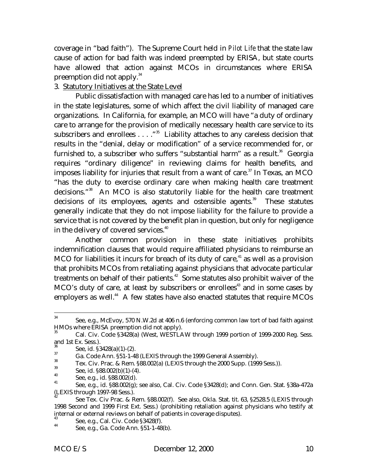coverage in "bad faith"). The Supreme Court held in *Pilot Life* that the state law cause of action for bad faith was indeed preempted by ERISA, but state courts have allowed that action against MCOs in circumstances where ERISA preemption did not apply.<sup>34</sup>

#### 3. Statutory Initiatives at the State Level

 Public dissatisfaction with managed care has led to a number of initiatives in the state legislatures, some of which affect the civil liability of managed care organizations. In California, for example, an MCO will have "a duty of ordinary care to arrange for the provision of medically necessary health care service to its subscribers and enrollees  $\dots$ ."<sup>35</sup> Liability attaches to any careless decision that results in the "denial, delay or modification" of a service recommended for, or furnished to, a subscriber who suffers "substantial harm" as a result. $36$  Georgia requires "ordinary diligence" in reviewing claims for health benefits, and imposes liability for injuries that result from a want of care. $37$  In Texas, an MCO "has the duty to exercise ordinary care when making health care treatment decisions."38 An MCO is also statutorily liable for the health care treatment decisions of its employees, agents and ostensible agents. $39$  These statutes generally indicate that they do not impose liability for the failure to provide a service that is not covered by the benefit plan in question, but only for negligence in the delivery of covered services.<sup>40</sup>

 Another common provision in these state initiatives prohibits indemnification clauses that would require affiliated physicians to reimburse an MCO for liabilities it incurs for breach of its duty of care, $41$  as well as a provision that prohibits MCOs from retaliating against physicians that advocate particular treatments on behalf of their patients.<sup>42</sup> Some statutes also prohibit waiver of the  $MCO's$  duty of care, at least by subscribers or enrollees<sup>43</sup> and in some cases by employers as well.<sup>44</sup> A few states have also enacted statutes that require MCOs

<sup>34</sup> See, e.g., McEvoy, 570 N.W.2d at 406 n.6 (enforcing common law tort of bad faith against HMOs where ERISA preemption did not apply).

Cal. Civ. Code §3428(a) (West, WESTLAW through 1999 portion of 1999-2000 Reg. Sess. and 1st Ex. Sess.).

<sup>&</sup>lt;sup>36</sup> See, id. §3428(a)(1)-(2).<br><sup>37</sup> Ga. Code Ann. §51-1-48 (LEXIS through the 1999 General Assembly).<br><sup>38</sup> Tex. Civ. Prac. & Rem. §88.002(a) (LEXIS through the 2000 Supp. (1999 Sess.)).

<sup>39</sup> See, id. §88.002(b)(1)-(4).<br>40 See, e.g., id. §88.002(d).<br>41 See, e.g., id. §88.002(g); see also, Cal. Civ. Code §3428(d); and Conn. Gen. Stat. §38a-472a (LEXIS through 1997-98 Sess.).

See Tex. Civ Prac. & Rem. §88.002(f). See also, Okla. Stat. tit. 63, §2528.5 (LEXIS through 1998 Second and 1999 First Ext. Sess.) (prohibiting retaliation against physicians who testify at internal or external reviews on behalf of patients in coverage disputes).

<sup>&</sup>lt;sup>43</sup> See, e.g., Cal. Civ. Code §3428(f).<br><sup>44</sup> See, e.g., Ga. Code Ann. §51-1-48(b).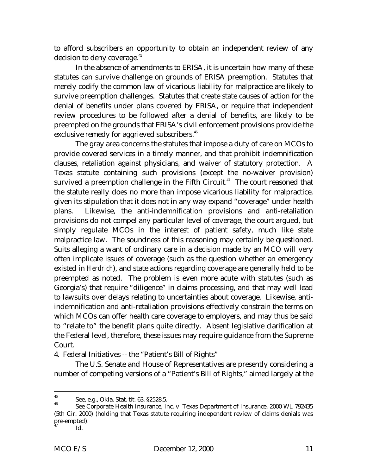to afford subscribers an opportunity to obtain an independent review of any decision to deny coverage.<sup>45</sup>

 In the absence of amendments to ERISA, it is uncertain how many of these statutes can survive challenge on grounds of ERISA preemption. Statutes that merely codify the common law of vicarious liability for malpractice are likely to survive preemption challenges. Statutes that create state causes of action for the denial of benefits under plans covered by ERISA, or require that independent review procedures to be followed after a denial of benefits, are likely to be preempted on the grounds that ERISA's civil enforcement provisions provide the exclusive remedy for aggrieved subscribers. $46$ 

 The gray area concerns the statutes that impose a duty of care on MCOs to provide covered services in a timely manner, and that prohibit indemnification clauses, retaliation against physicians, and waiver of statutory protection. A Texas statute containing such provisions (except the no-waiver provision) survived a preemption challenge in the Fifth Circuit.<sup> $47$ </sup> The court reasoned that the statute really does no more than impose vicarious liability for malpractice, given its stipulation that it does not in any way expand "coverage" under health plans. Likewise, the anti-indemnification provisions and anti-retaliation provisions do not compel any particular level of coverage, the court argued, but simply regulate MCOs in the interest of patient safety, much like state malpractice law. The soundness of this reasoning may certainly be questioned. Suits alleging a want of ordinary care in a decision made by an MCO will very often implicate issues of coverage (such as the question whether an emergency existed in *Herdrich*), and state actions regarding coverage are generally held to be preempted as noted. The problem is even more acute with statutes (such as Georgia's) that require "diligence" in claims processing, and that may well lead to lawsuits over delays relating to uncertainties about coverage. Likewise, antiindemnification and anti-retaliation provisions effectively constrain the terms on which MCOs can offer health care coverage to employers, and may thus be said to "relate to" the benefit plans quite directly. Absent legislative clarification at the Federal level, therefore, these issues may require guidance from the Supreme Court.

4. Federal Initiatives -- the "Patient's Bill of Rights"

 The U.S. Senate and House of Representatives are presently considering a number of competing versions of a "Patient's Bill of Rights," aimed largely at the

 $45\,$ 

See, e.g., Okla. Stat. tit. 63, §2528.5.<br>See Corporate Health Insurance, Inc. v. Texas Department of Insurance, 2000 WL 792435 (5th Cir. 2000) (holding that Texas statute requiring independent review of claims denials was pre-empted).

Id.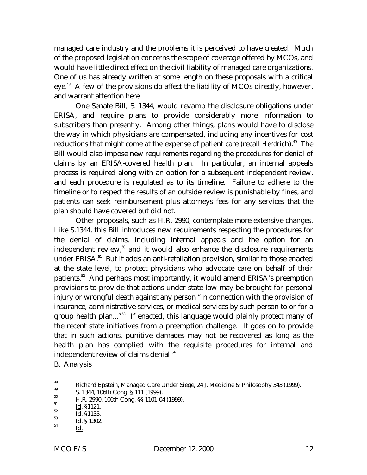managed care industry and the problems it is perceived to have created. Much of the proposed legislation concerns the scope of coverage offered by MCOs, and would have little direct effect on the civil liability of managed care organizations. One of us has already written at some length on these proposals with a critical eye.<sup>48</sup> A few of the provisions do affect the liability of MCOs directly, however, and warrant attention here.

 One Senate Bill, S. 1344, would revamp the disclosure obligations under ERISA, and require plans to provide considerably more information to subscribers than presently. Among other things, plans would have to disclose the way in which physicians are compensated, including any incentives for cost reductions that might come at the expense of patient care (recall *Herdric*h).<sup>49</sup> The Bill would also impose new requirements regarding the procedures for denial of claims by an ERISA-covered health plan. In particular, an internal appeals process is required along with an option for a subsequent independent review, and each procedure is regulated as to its timeline. Failure to adhere to the timeline or to respect the results of an outside review is punishable by fines, and patients can seek reimbursement plus attorneys fees for any services that the plan should have covered but did not.

 Other proposals, such as H.R. 2990, contemplate more extensive changes. Like S.1344, this Bill introduces new requirements respecting the procedures for the denial of claims, including internal appeals and the option for an independent review,<sup>50</sup> and it would also enhance the disclosure requirements under ERISA.<sup>51</sup> But it adds an anti-retaliation provision, similar to those enacted at the state level, to protect physicians who advocate care on behalf of their patients.<sup>52</sup> And perhaps most importantly, it would amend ERISA's preemption provisions to provide that actions under state law may be brought for personal injury or wrongful death against any person "in connection with the provision of insurance, administrative services, or medical services by such person to or for a group health plan..."<sup>53</sup> If enacted, this language would plainly protect many of the recent state initiatives from a preemption challenge. It goes on to provide that in such actions, punitive damages may not be recovered as long as the health plan has complied with the requisite procedures for internal and independent review of claims denial.<sup>54</sup>

B. Analysis

<sup>48</sup> 48<br>
As Richard Epstein, Managed Care Under Siege, 24 J. Medicine & Philosophy 343 (1999).<br>
50 S. 1344, 106th Cong. § 111 (1999).<br>
H.R. 2990, 106th Cong. §§ 1101-04 (1999).<br>
52 <u>Id</u>. §1121.<br>
<u>Id.</u> §1135.<br>
<u>Id.</u> § 1302.<br>
54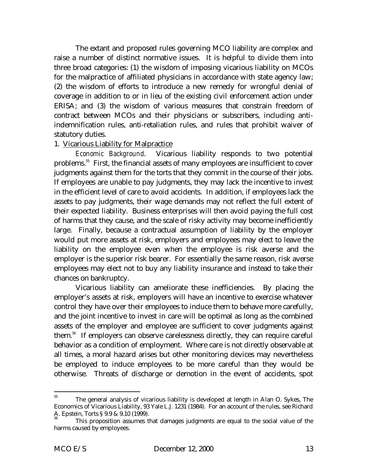The extant and proposed rules governing MCO liability are complex and raise a number of distinct normative issues. It is helpful to divide them into three broad categories: (1) the wisdom of imposing vicarious liability on MCOs for the malpractice of affiliated physicians in accordance with state agency law; (2) the wisdom of efforts to introduce a new remedy for wrongful denial of coverage in addition to or in lieu of the existing civil enforcement action under ERISA; and (3) the wisdom of various measures that constrain freedom of contract between MCOs and their physicians or subscribers, including antiindemnification rules, anti-retaliation rules, and rules that prohibit waiver of statutory duties.

#### 1. Vicarious Liability for Malpractice

*Economic Background*. Vicarious liability responds to two potential problems.<sup>55</sup> First, the financial assets of many employees are insufficient to cover judgments against them for the torts that they commit in the course of their jobs. If employees are unable to pay judgments, they may lack the incentive to invest in the efficient level of care to avoid accidents. In addition, if employees lack the assets to pay judgments, their wage demands may not reflect the full extent of their expected liability. Business enterprises will then avoid paying the full cost of harms that they cause, and the scale of risky activity may become inefficiently large. Finally, because a contractual assumption of liability by the employer would put more assets at risk, employers and employees may elect to leave the liability on the employee even when the employee is risk averse and the employer is the superior risk bearer. For essentially the same reason, risk averse employees may elect not to buy any liability insurance and instead to take their chances on bankruptcy.

 Vicarious liability can ameliorate these inefficiencies. By placing the employer's assets at risk, employers will have an incentive to exercise whatever control they have over their employees to induce them to behave more carefully, and the joint incentive to invest in care will be optimal as long as the combined assets of the employer and employee are sufficient to cover judgments against them.<sup>56</sup> If employers can observe carelessness directly, they can require careful behavior as a condition of employment. Where care is not directly observable at all times, a moral hazard arises but other monitoring devices may nevertheless be employed to induce employees to be more careful than they would be otherwise. Threats of discharge or demotion in the event of accidents, spot

<sup>55</sup> The general analysis of vicarious liability is developed at length in Alan O. Sykes, The Economics of Vicarious Liability, 93 Yale L.J. 1231 (1984). For an account of the rules, see Richard A. Epstein, Torts § 9.9 & 9.10 (1999).

This proposition assumes that damages judgments are equal to the social value of the harms caused by employees.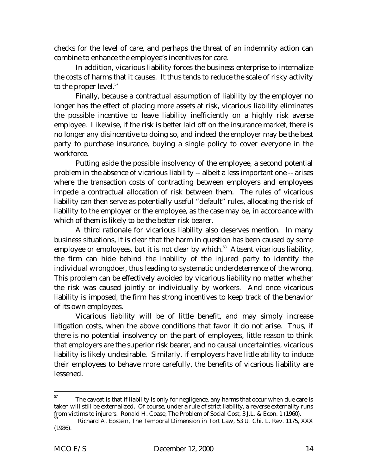checks for the level of care, and perhaps the threat of an indemnity action can combine to enhance the employee's incentives for care.

 In addition, vicarious liability forces the business enterprise to internalize the costs of harms that it causes. It thus tends to reduce the scale of risky activity to the proper level. $57$ 

 Finally, because a contractual assumption of liability by the employer no longer has the effect of placing more assets at risk, vicarious liability eliminates the possible incentive to leave liability inefficiently on a highly risk averse employee. Likewise, if the risk is better laid off on the insurance market, there is no longer any disincentive to doing so, and indeed the employer may be the best party to purchase insurance, buying a single policy to cover everyone in the workforce.

 Putting aside the possible insolvency of the employee, a second potential problem in the absence of vicarious liability -- albeit a less important one -- arises where the transaction costs of contracting between employers and employees impede a contractual allocation of risk between them. The rules of vicarious liability can then serve as potentially useful "default" rules, allocating the risk of liability to the employer or the employee, as the case may be, in accordance with which of them is likely to be the better risk bearer.

 A third rationale for vicarious liability also deserves mention. In many business situations, it is clear that the harm in question has been caused by some employee or employees, but it is not clear by which.<sup>58</sup> Absent vicarious liability, the firm can hide behind the inability of the injured party to identify the individual wrongdoer, thus leading to systematic underdeterrence of the wrong. This problem can be effectively avoided by vicarious liability no matter whether the risk was caused jointly or individually by workers. And once vicarious liability is imposed, the firm has strong incentives to keep track of the behavior of its own employees.

 Vicarious liability will be of little benefit, and may simply increase litigation costs, when the above conditions that favor it do not arise. Thus, if there is no potential insolvency on the part of employees, little reason to think that employers are the superior risk bearer, and no causal uncertainties, vicarious liability is likely undesirable. Similarly, if employers have little ability to induce their employees to behave more carefully, the benefits of vicarious liability are lessened.

<sup>57</sup> The caveat is that if liability is only for negligence, any harms that occur when due care is taken will still be externalized. Of course, under a rule of strict liability, a reverse externality runs from victims to injurers. Ronald H. Coase, The Problem of Social Cost, 3 J.L. & Econ. 1 (1960).

<sup>58</sup> Richard A. Epstein, The Temporal Dimension in Tort Law, 53 U. Chi. L. Rev. 1175, XXX (1986).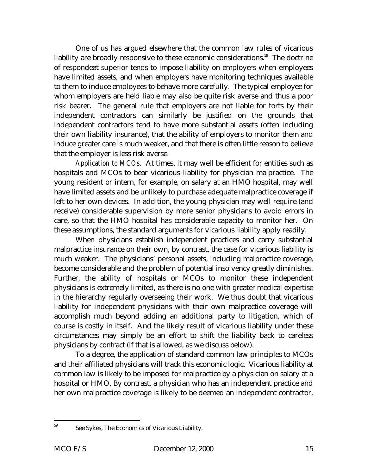One of us has argued elsewhere that the common law rules of vicarious liability are broadly responsive to these economic considerations.<sup>59</sup> The doctrine of respondeat superior tends to impose liability on employers when employees have limited assets, and when employers have monitoring techniques available to them to induce employees to behave more carefully. The typical employee for whom employers are held liable may also be quite risk averse and thus a poor risk bearer. The general rule that employers are not liable for torts by their independent contractors can similarly be justified on the grounds that independent contractors tend to have more substantial assets (often including their own liability insurance), that the ability of employers to monitor them and induce greater care is much weaker, and that there is often little reason to believe that the employer is less risk averse.

*Application to MCOs*. At times, it may well be efficient for entities such as hospitals and MCOs to bear vicarious liability for physician malpractice. The young resident or intern, for example, on salary at an HMO hospital, may well have limited assets and be unlikely to purchase adequate malpractice coverage if left to her own devices. In addition, the young physician may well require (and receive) considerable supervision by more senior physicians to avoid errors in care, so that the HMO hospital has considerable capacity to monitor her. On these assumptions, the standard arguments for vicarious liability apply readily.

 When physicians establish independent practices and carry substantial malpractice insurance on their own, by contrast, the case for vicarious liability is much weaker. The physicians' personal assets, including malpractice coverage, become considerable and the problem of potential insolvency greatly diminishes. Further, the ability of hospitals or MCOs to monitor these independent physicians is extremely limited, as there is no one with greater medical expertise in the hierarchy regularly overseeing their work. We thus doubt that vicarious liability for independent physicians with their own malpractice coverage will accomplish much beyond adding an additional party to litigation, which of course is costly in itself. And the likely result of vicarious liability under these circumstances may simply be an effort to shift the liability back to careless physicians by contract (if that is allowed, as we discuss below).

 To a degree, the application of standard common law principles to MCOs and their affiliated physicians will track this economic logic. Vicarious liability at common law is likely to be imposed for malpractice by a physician on salary at a hospital or HMO. By contrast, a physician who has an independent practice and her own malpractice coverage is likely to be deemed an independent contractor,

 ${\bf 59}$ 

See Sykes, The Economics of Vicarious Liability.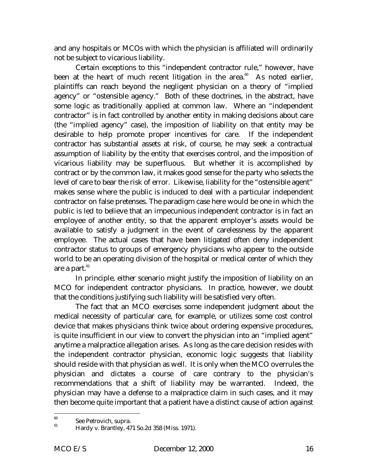and any hospitals or MCOs with which the physician is affiliated will ordinarily not be subject to vicarious liability.

 Certain exceptions to this "independent contractor rule," however, have been at the heart of much recent litigation in the area. $60$  As noted earlier, plaintiffs can reach beyond the negligent physician on a theory of "implied agency" or "ostensible agency." Both of these doctrines, in the abstract, have some logic as traditionally applied at common law. Where an "independent contractor" is in fact controlled by another entity in making decisions about care (the "implied agency" case), the imposition of liability on that entity may be desirable to help promote proper incentives for care. If the independent contractor has substantial assets at risk, of course, he may seek a contractual assumption of liability by the entity that exercises control, and the imposition of vicarious liability may be superfluous. But whether it is accomplished by contract or by the common law, it makes good sense for the party who selects the level of care to bear the risk of error. Likewise, liability for the "ostensible agent" makes sense where the public is induced to deal with a particular independent contractor on false pretenses. The paradigm case here would be one in which the public is led to believe that an impecunious independent contractor is in fact an employee of another entity, so that the apparent employer's assets would be available to satisfy a judgment in the event of carelessness by the apparent employee. The actual cases that have been litigated often deny independent contractor status to groups of emergency physicians who appear to the outside world to be an operating division of the hospital or medical center of which they are a part. $^{\scriptscriptstyle 61}$ 

 In principle, either scenario might justify the imposition of liability on an MCO for independent contractor physicians. In practice, however, we doubt that the conditions justifying such liability will be satisfied very often.

 The fact that an MCO exercises some independent judgment about the medical necessity of particular care, for example, or utilizes some cost control device that makes physicians think twice about ordering expensive procedures, is quite insufficient in our view to convert the physician into an "implied agent" anytime a malpractice allegation arises. As long as the care decision resides with the independent contractor physician, economic logic suggests that liability should reside with that physician as well. It is only when the MCO overrules the physician and dictates a course of care contrary to the physician's recommendations that a shift of liability may be warranted. Indeed, the physician may have a defense to a malpractice claim in such cases, and it may then become quite important that a patient have a distinct cause of action against

<sup>60</sup> 

<sup>&</sup>lt;sup>60</sup> See Petrovich, supra.<br><sup>61</sup> Hardy v. Brantley, 471 So.2d 358 (Miss. 1971).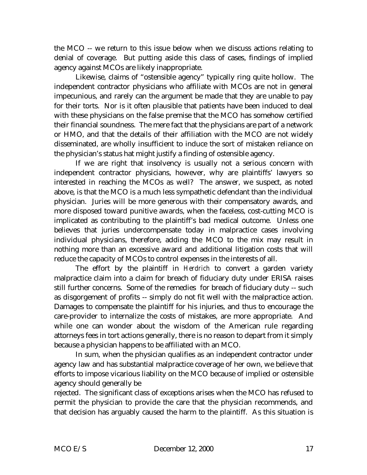the MCO -- we return to this issue below when we discuss actions relating to denial of coverage. But putting aside this class of cases, findings of implied agency against MCOs are likely inappropriate.

 Likewise, claims of "ostensible agency" typically ring quite hollow. The independent contractor physicians who affiliate with MCOs are not in general impecunious, and rarely can the argument be made that they are unable to pay for their torts. Nor is it often plausible that patients have been induced to deal with these physicians on the false premise that the MCO has somehow certified their financial soundness. The mere fact that the physicians are part of a network or HMO, and that the details of their affiliation with the MCO are not widely disseminated, are wholly insufficient to induce the sort of mistaken reliance on the physician's status hat might justify a finding of ostensible agency.

 If we are right that insolvency is usually not a serious concern with independent contractor physicians, however, why are plaintiffs' lawyers so interested in reaching the MCOs as well? The answer, we suspect, as noted above, is that the MCO is a much less sympathetic defendant than the individual physician. Juries will be more generous with their compensatory awards, and more disposed toward punitive awards, when the faceless, cost-cutting MCO is implicated as contributing to the plaintiff's bad medical outcome. Unless one believes that juries undercompensate today in malpractice cases involving individual physicians, therefore, adding the MCO to the mix may result in nothing more than an excessive award and additional litigation costs that will reduce the capacity of MCOs to control expenses in the interests of all.

 The effort by the plaintiff in *Herdrich* to convert a garden variety malpractice claim into a claim for breach of fiduciary duty under ERISA raises still further concerns. Some of the remedies for breach of fiduciary duty -- such as disgorgement of profits -- simply do not fit well with the malpractice action. Damages to compensate the plaintiff for his injuries, and thus to encourage the care-provider to internalize the costs of mistakes, are more appropriate. And while one can wonder about the wisdom of the American rule regarding attorneys fees in tort actions generally, there is no reason to depart from it simply because a physician happens to be affiliated with an MCO.

 In sum, when the physician qualifies as an independent contractor under agency law and has substantial malpractice coverage of her own, we believe that efforts to impose vicarious liability on the MCO because of implied or ostensible agency should generally be

rejected. The significant class of exceptions arises when the MCO has refused to permit the physician to provide the care that the physician recommends, and that decision has arguably caused the harm to the plaintiff. As this situation is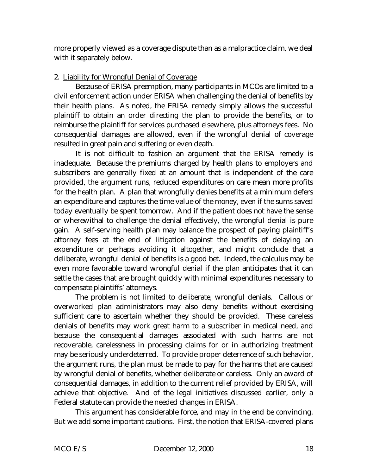more properly viewed as a coverage dispute than as a malpractice claim, we deal with it separately below.

#### 2. Liability for Wrongful Denial of Coverage

 Because of ERISA preemption, many participants in MCOs are limited to a civil enforcement action under ERISA when challenging the denial of benefits by their health plans. As noted, the ERISA remedy simply allows the successful plaintiff to obtain an order directing the plan to provide the benefits, or to reimburse the plaintiff for services purchased elsewhere, plus attorneys fees. No consequential damages are allowed, even if the wrongful denial of coverage resulted in great pain and suffering or even death.

 It is not difficult to fashion an argument that the ERISA remedy is inadequate. Because the premiums charged by health plans to employers and subscribers are generally fixed at an amount that is independent of the care provided, the argument runs, reduced expenditures on care mean more profits for the health plan. A plan that wrongfully denies benefits at a minimum defers an expenditure and captures the time value of the money, even if the sums saved today eventually be spent tomorrow. And if the patient does not have the sense or wherewithal to challenge the denial effectively, the wrongful denial is pure gain. A self-serving health plan may balance the prospect of paying plaintiff's attorney fees at the end of litigation against the benefits of delaying an expenditure or perhaps avoiding it altogether, and might conclude that a deliberate, wrongful denial of benefits is a good bet. Indeed, the calculus may be even more favorable toward wrongful denial if the plan anticipates that it can settle the cases that are brought quickly with minimal expenditures necessary to compensate plaintiffs' attorneys.

 The problem is not limited to deliberate, wrongful denials. Callous or overworked plan administrators may also deny benefits without exercising sufficient care to ascertain whether they should be provided. These careless denials of benefits may work great harm to a subscriber in medical need, and because the consequential damages associated with such harms are not recoverable, carelessness in processing claims for or in authorizing treatment may be seriously underdeterred. To provide proper deterrence of such behavior, the argument runs, the plan must be made to pay for the harms that are caused by wrongful denial of benefits, whether deliberate or careless. Only an award of consequential damages, in addition to the current relief provided by ERISA, will achieve that objective. And of the legal initiatives discussed earlier, only a Federal statute can provide the needed changes in ERISA.

 This argument has considerable force, and may in the end be convincing. But we add some important cautions. First, the notion that ERISA-covered plans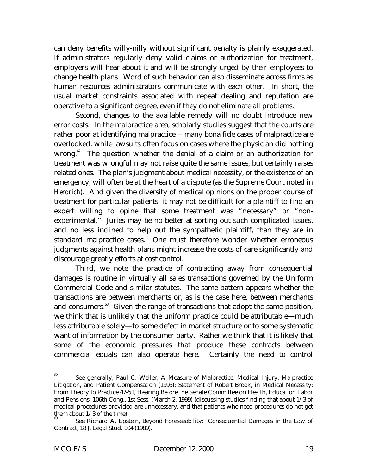can deny benefits willy-nilly without significant penalty is plainly exaggerated. If administrators regularly deny valid claims or authorization for treatment, employers will hear about it and will be strongly urged by their employees to change health plans. Word of such behavior can also disseminate across firms as human resources administrators communicate with each other. In short, the usual market constraints associated with repeat dealing and reputation are operative to a significant degree, even if they do not eliminate all problems.

 Second, changes to the available remedy will no doubt introduce new error costs. In the malpractice area, scholarly studies suggest that the courts are rather poor at identifying malpractice -- many bona fide cases of malpractice are overlooked, while lawsuits often focus on cases where the physician did nothing wrong.<sup>62</sup> The question whether the denial of a claim or an authorization for treatment was wrongful may not raise quite the same issues, but certainly raises related ones. The plan's judgment about medical necessity, or the existence of an emergency, will often be at the heart of a dispute (as the Supreme Court noted in *Herdrich*). And given the diversity of medical opinions on the proper course of treatment for particular patients, it may not be difficult for a plaintiff to find an expert willing to opine that some treatment was "necessary" or "nonexperimental." Juries may be no better at sorting out such complicated issues, and no less inclined to help out the sympathetic plaintiff, than they are in standard malpractice cases. One must therefore wonder whether erroneous judgments against health plans might increase the costs of care significantly and discourage greatly efforts at cost control.

 Third, we note the practice of contracting away from consequential damages is routine in virtually all sales transactions governed by the Uniform Commercial Code and similar statutes. The same pattern appears whether the transactions are between merchants or, as is the case here, between merchants and consumers.<sup>63</sup> Given the range of transactions that adopt the same position, we think that is unlikely that the uniform practice could be attributable—much less attributable solely—to some defect in market structure or to some systematic want of information by the consumer party. Rather we think that it is likely that some of the economic pressures that produce these contracts between commercial equals can also operate here. Certainly the need to control

<sup>62</sup> 62 See generally, Paul C. Weiler, A Measure of Malpractice: Medical Injury, Malpractice Litigation, and Patient Compensation (1993); Statement of Robert Brook, in Medical Necessity: From Theory to Practice 47-51, Hearing Before the Senate Committee on Health, Education Labor and Pensions, 106th Cong., 1st Sess. (March 2, 1999) (discussing studies finding that about 1/3 of medical procedures provided are unnecessary, and that patients who need procedures do not get them about 1/3 of the time).

See Richard A. Epstein, Beyond Foreseeability: Consequential Damages in the Law of Contract, 18 J. Legal Stud. 104 (1989).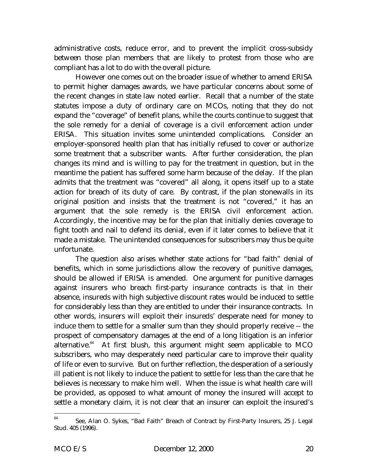administrative costs, reduce error, and to prevent the implicit cross-subsidy between those plan members that are likely to protest from those who are compliant has a lot to do with the overall picture.

 However one comes out on the broader issue of whether to amend ERISA to permit higher damages awards, we have particular concerns about some of the recent changes in state law noted earlier. Recall that a number of the state statutes impose a duty of ordinary care on MCOs, noting that they do not expand the "coverage" of benefit plans, while the courts continue to suggest that the sole remedy for a denial of coverage is a civil enforcement action under ERISA. This situation invites some unintended complications. Consider an employer-sponsored health plan that has initially refused to cover or authorize some treatment that a subscriber wants. After further consideration, the plan changes its mind and is willing to pay for the treatment in question, but in the meantime the patient has suffered some harm because of the delay. If the plan admits that the treatment was "covered" all along, it opens itself up to a state action for breach of its duty of care. By contrast, if the plan stonewalls in its original position and insists that the treatment is not "covered," it has an argument that the sole remedy is the ERISA civil enforcement action. Accordingly, the incentive may be for the plan that initially denies coverage to fight tooth and nail to defend its denial, even if it later comes to believe that it made a mistake. The unintended consequences for subscribers may thus be quite unfortunate.

 The question also arises whether state actions for "bad faith" denial of benefits, which in some jurisdictions allow the recovery of punitive damages, should be allowed if ERISA is amended. One argument for punitive damages against insurers who breach first-party insurance contracts is that in their absence, insureds with high subjective discount rates would be induced to settle for considerably less than they are entitled to under their insurance contracts. In other words, insurers will exploit their insureds' desperate need for money to induce them to settle for a smaller sum than they should properly receive -- the prospect of compensatory damages at the end of a long litigation is an inferior alternative. $64$  At first blush, this argument might seem applicable to MCO subscribers, who may desperately need particular care to improve their quality of life or even to survive. But on further reflection, the desperation of a seriously ill patient is not likely to induce the patient to settle for less than the care that he believes is necessary to make him well. When the issue is what health care will be provided, as opposed to what amount of money the insured will accept to settle a monetary claim, it is not clear that an insurer can exploit the insured's

 $64\,$ See, Alan O. Sykes, "Bad Faith" Breach of Contract by First-Party Insurers, 25 J. Legal Stud. 405 (1996).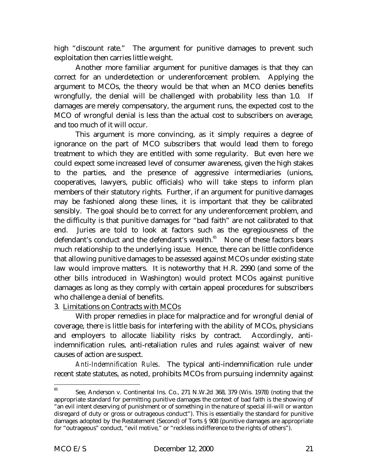high "discount rate." The argument for punitive damages to prevent such exploitation then carries little weight.

 Another more familiar argument for punitive damages is that they can correct for an underdetection or underenforcement problem. Applying the argument to MCOs, the theory would be that when an MCO denies benefits wrongfully, the denial will be challenged with probability less than 1.0. If damages are merely compensatory, the argument runs, the expected cost to the MCO of wrongful denial is less than the actual cost to subscribers on average, and too much of it will occur.

 This argument is more convincing, as it simply requires a degree of ignorance on the part of MCO subscribers that would lead them to forego treatment to which they are entitled with some regularity. But even here we could expect some increased level of consumer awareness, given the high stakes to the parties, and the presence of aggressive intermediaries (unions, cooperatives, lawyers, public officials) who will take steps to inform plan members of their statutory rights. Further, if an argument for punitive damages may be fashioned along these lines, it is important that they be calibrated sensibly. The goal should be to correct for any underenforcement problem, and the difficulty is that punitive damages for "bad faith" are not calibrated to that end. Juries are told to look at factors such as the egregiousness of the defendant's conduct and the defendant's wealth.<sup>65</sup> None of these factors bears much relationship to the underlying issue. Hence, there can be little confidence that allowing punitive damages to be assessed against MCOs under existing state law would improve matters. It is noteworthy that H.R. 2990 (and some of the other bills introduced in Washington) would protect MCOs against punitive damages as long as they comply with certain appeal procedures for subscribers who challenge a denial of benefits.

3. Limitations on Contracts with MCOs

 With proper remedies in place for malpractice and for wrongful denial of coverage, there is little basis for interfering with the ability of MCOs, physicians and employers to allocate liability risks by contract. Accordingly, antiindemnification rules, anti-retaliation rules and rules against waiver of new causes of action are suspect.

*Anti-Indemnification Rules*. The typical anti-indemnification rule under recent state statutes, as noted, prohibits MCOs from pursuing indemnity against

<sup>65</sup> See, Anderson v. Continental Ins. Co., 271 N.W.2d 368, 379 (Wis. 1978) (noting that the appropriate standard for permitting punitive damages the context of bad faith is the showing of "an evil intent deserving of punishment or of something in the nature of special ill-will or wanton disregard of duty or gross or outrageous conduct"). This is essentially the standard for punitive damages adopted by the Restatement (Second) of Torts § 908 (punitive damages are appropriate for "outrageous" conduct, "evil motive," or "reckless indifference to the rights of others").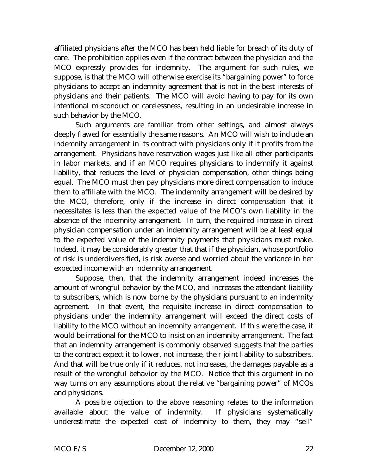affiliated physicians after the MCO has been held liable for breach of its duty of care. The prohibition applies even if the contract between the physician and the MCO expressly provides for indemnity. The argument for such rules, we suppose, is that the MCO will otherwise exercise its "bargaining power" to force physicians to accept an indemnity agreement that is not in the best interests of physicians and their patients. The MCO will avoid having to pay for its own intentional misconduct or carelessness, resulting in an undesirable increase in such behavior by the MCO.

 Such arguments are familiar from other settings, and almost always deeply flawed for essentially the same reasons. An MCO will wish to include an indemnity arrangement in its contract with physicians only if it profits from the arrangement. Physicians have reservation wages just like all other participants in labor markets, and if an MCO requires physicians to indemnify it against liability, that reduces the level of physician compensation, other things being equal. The MCO must then pay physicians more direct compensation to induce them to affiliate with the MCO. The indemnity arrangement will be desired by the MCO, therefore, only if the increase in direct compensation that it necessitates is less than the expected value of the MCO's own liability in the absence of the indemnity arrangement. In turn, the required increase in direct physician compensation under an indemnity arrangement will be at least equal to the expected value of the indemnity payments that physicians must make. Indeed, it may be considerably greater that that if the physician, whose portfolio of risk is underdiversified, is risk averse and worried about the variance in her expected income with an indemnity arrangement.

 Suppose, then, that the indemnity arrangement indeed increases the amount of wrongful behavior by the MCO, and increases the attendant liability to subscribers, which is now borne by the physicians pursuant to an indemnity agreement. In that event, the requisite increase in direct compensation to physicians under the indemnity arrangement will exceed the direct costs of liability to the MCO without an indemnity arrangement. If this were the case, it would be irrational for the MCO to insist on an indemnity arrangement. The fact that an indemnity arrangement is commonly observed suggests that the parties to the contract expect it to lower, not increase, their joint liability to subscribers. And that will be true only if it reduces, not increases, the damages payable as a result of the wrongful behavior by the MCO. Notice that this argument in no way turns on any assumptions about the relative "bargaining power" of MCOs and physicians.

 A possible objection to the above reasoning relates to the information available about the value of indemnity. If physicians systematically underestimate the expected cost of indemnity to them, they may "sell"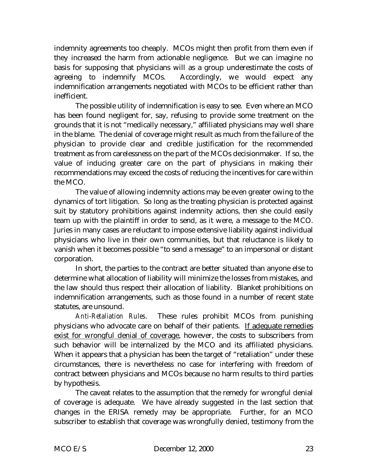indemnity agreements too cheaply. MCOs might then profit from them even if they increased the harm from actionable negligence. But we can imagine no basis for supposing that physicians will as a group underestimate the costs of agreeing to indemnify MCOs. Accordingly, we would expect any indemnification arrangements negotiated with MCOs to be efficient rather than inefficient.

 The possible utility of indemnification is easy to see. Even where an MCO has been found negligent for, say, refusing to provide some treatment on the grounds that it is not "medically necessary," affiliated physicians may well share in the blame. The denial of coverage might result as much from the failure of the physician to provide clear and credible justification for the recommended treatment as from carelessness on the part of the MCOs decisionmaker. If so, the value of inducing greater care on the part of physicians in making their recommendations may exceed the costs of reducing the incentives for care within the MCO.

 The value of allowing indemnity actions may be even greater owing to the dynamics of tort litigation. So long as the treating physician is protected against suit by statutory prohibitions against indemnity actions, then she could easily team up with the plaintiff in order to send, as it were, a message to the MCO. Juries in many cases are reluctant to impose extensive liability against individual physicians who live in their own communities, but that reluctance is likely to vanish when it becomes possible "to send a message" to an impersonal or distant corporation.

 In short, the parties to the contract are better situated than anyone else to determine what allocation of liability will minimize the losses from mistakes, and the law should thus respect their allocation of liability. Blanket prohibitions on indemnification arrangements, such as those found in a number of recent state statutes, are unsound.

*Anti-Retaliation Rules*. These rules prohibit MCOs from punishing physicians who advocate care on behalf of their patients. If adequate remedies exist for wrongful denial of coverage, however, the costs to subscribers from such behavior will be internalized by the MCO and its affiliated physicians. When it appears that a physician has been the target of "retaliation" under these circumstances, there is nevertheless no case for interfering with freedom of contract between physicians and MCOs because no harm results to third parties by hypothesis.

 The caveat relates to the assumption that the remedy for wrongful denial of coverage is adequate. We have already suggested in the last section that changes in the ERISA remedy may be appropriate. Further, for an MCO subscriber to establish that coverage was wrongfully denied, testimony from the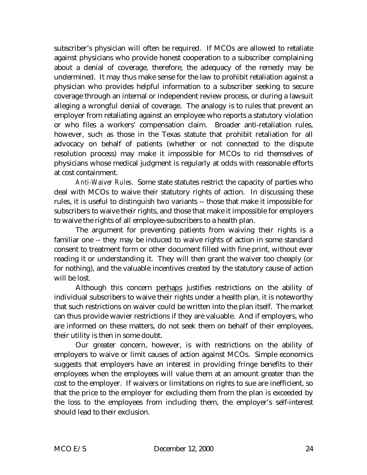subscriber's physician will often be required. If MCOs are allowed to retaliate against physicians who provide honest cooperation to a subscriber complaining about a denial of coverage, therefore, the adequacy of the remedy may be undermined. It may thus make sense for the law to prohibit retaliation against a physician who provides helpful information to a subscriber seeking to secure coverage through an internal or independent review process, or during a lawsuit alleging a wrongful denial of coverage. The analogy is to rules that prevent an employer from retaliating against an employee who reports a statutory violation or who files a workers' compensation claim. Broader anti-retaliation rules, however, such as those in the Texas statute that prohibit retaliation for all advocacy on behalf of patients (whether or not connected to the dispute resolution process) may make it impossible for MCOs to rid themselves of physicians whose medical judgment is regularly at odds with reasonable efforts at cost containment.

*Anti-Waiver Rules*. Some state statutes restrict the capacity of parties who deal with MCOs to waive their statutory rights of action. In discussing these rules, it is useful to distinguish two variants -- those that make it impossible for subscribers to waive their rights, and those that make it impossible for employers to waive the rights of all employee-subscribers to a health plan.

 The argument for preventing patients from waiving their rights is a familiar one -- they may be induced to waive rights of action in some standard consent to treatment form or other document filled with fine print, without ever reading it or understanding it. They will then grant the waiver too cheaply (or for nothing), and the valuable incentives created by the statutory cause of action will be lost.

Although this concern perhaps justifies restrictions on the ability of individual subscribers to waive their rights under a health plan, it is noteworthy that such restrictions on waiver could be written into the plan itself. The market can thus provide wavier restrictions if they are valuable. And if employers, who are informed on these matters, do not seek them on behalf of their employees, their utility is then in some doubt.

 Our greater concern, however, is with restrictions on the ability of employers to waive or limit causes of action against MCOs. Simple economics suggests that employers have an interest in providing fringe benefits to their employees when the employees will value them at an amount greater than the cost to the employer. If waivers or limitations on rights to sue are inefficient, so that the price to the employer for excluding them from the plan is exceeded by the loss to the employees from including them, the employer's self-interest should lead to their exclusion.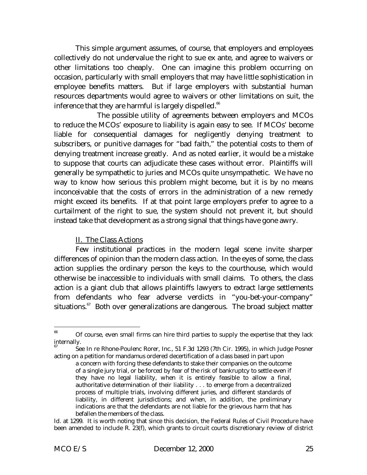This simple argument assumes, of course, that employers and employees collectively do not undervalue the right to sue ex ante, and agree to waivers or other limitations too cheaply. One can imagine this problem occurring on occasion, particularly with small employers that may have little sophistication in employee benefits matters. But if large employers with substantial human resources departments would agree to waivers or other limitations on suit, the inference that they are harmful is largely dispelled. $66$ 

 The possible utility of agreements between employers and MCOs to reduce the MCOs' exposure to liability is again easy to see. If MCOs' become liable for consequential damages for negligently denying treatment to subscribers, or punitive damages for "bad faith," the potential costs to them of denying treatment increase greatly. And as noted earlier, it would be a mistake to suppose that courts can adjudicate these cases without error. Plaintiffs will generally be sympathetic to juries and MCOs quite unsympathetic. We have no way to know how serious this problem might become, but it is by no means inconceivable that the costs of errors in the administration of a new remedy might exceed its benefits. If at that point large employers prefer to agree to a curtailment of the right to sue, the system should not prevent it, but should instead take that development as a strong signal that things have gone awry.

#### II. The Class Actions

Few institutional practices in the modern legal scene invite sharper differences of opinion than the modern class action. In the eyes of some, the class action supplies the ordinary person the keys to the courthouse, which would otherwise be inaccessible to individuals with small claims. To others, the class action is a giant club that allows plaintiffs lawyers to extract large settlements from defendants who fear adverse verdicts in "you-bet-your-company" situations. $67$  Both over generalizations are dangerous. The broad subject matter

<sup>66</sup> 66 Of course, even small firms can hire third parties to supply the expertise that they lack internally.

<sup>67</sup> See In re Rhone-Poulenc Rorer, Inc., 51 F.3d 1293 (7th Cir. 1995), in which Judge Posner acting on a petition for mandamus ordered decertification of a class based in part upon

a concern with forcing these defendants to stake their companies on the outcome of a single jury trial, or be forced by fear of the risk of bankruptcy to settle even if they have no legal liability, when it is entirely feasible to allow a final, authoritative determination of their liability . . . to emerge from a decentralized process of multiple trials, involving different juries, and different standards of liability, in different jurisdictions; and when, in addition, the preliminary indications are that the defendants are not liable for the grievous harm that has befallen the members of the class.

Id. at 1299. It is worth noting that since this decision, the Federal Rules of Civil Procedure have been amended to include R. 23(f), which grants to circuit courts discretionary review of district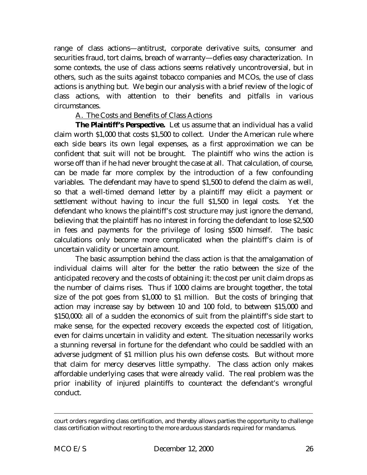range of class actions—antitrust, corporate derivative suits, consumer and securities fraud, tort claims, breach of warranty—defies easy characterization. In some contexts, the use of class actions seems relatively uncontroversial, but in others, such as the suits against tobacco companies and MCOs, the use of class actions is anything but. We begin our analysis with a brief review of the logic of class actions, with attention to their benefits and pitfalls in various circumstances.

#### A. The Costs and Benefits of Class Actions

**The Plaintiff's Perspective.** Let us assume that an individual has a valid claim worth \$1,000 that costs \$1,500 to collect. Under the American rule where each side bears its own legal expenses, as a first approximation we can be confident that suit will not be brought. The plaintiff who wins the action is worse off than if he had never brought the case at all. That calculation, of course, can be made far more complex by the introduction of a few confounding variables. The defendant may have to spend \$1,500 to defend the claim as well, so that a well-timed demand letter by a plaintiff may elicit a payment or settlement without having to incur the full \$1,500 in legal costs. Yet the defendant who knows the plaintiff's cost structure may just ignore the demand, believing that the plaintiff has no interest in forcing the defendant to lose \$2,500 in fees and payments for the privilege of losing \$500 himself. The basic calculations only become more complicated when the plaintiff's claim is of uncertain validity or uncertain amount.

The basic assumption behind the class action is that the amalgamation of individual claims will alter for the better the ratio between the size of the anticipated recovery and the costs of obtaining it: the cost per unit claim drops as the number of claims rises. Thus if 1000 claims are brought together, the total size of the pot goes from \$1,000 to \$1 million. But the costs of bringing that action may increase say by between 10 and 100 fold, to between \$15,000 and \$150,000: all of a sudden the economics of suit from the plaintiff's side start to make sense, for the expected recovery exceeds the expected cost of litigation, even for claims uncertain in validity and extent. The situation necessarily works a stunning reversal in fortune for the defendant who could be saddled with an adverse judgment of \$1 million plus his own defense costs. But without more that claim for mercy deserves little sympathy. The class action only makes affordable underlying cases that were already valid. The real problem was the prior inability of injured plaintiffs to counteract the defendant's wrongful conduct.

 $\overline{a}$ 

court orders regarding class certification, and thereby allows parties the opportunity to challenge class certification without resorting to the more arduous standards required for mandamus.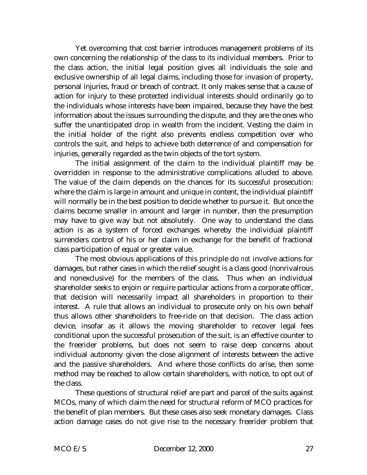Yet overcoming that cost barrier introduces management problems of its own concerning the relationship of the class to its individual members. Prior to the class action, the initial legal position gives all individuals the sole and exclusive ownership of all legal claims, including those for invasion of property, personal injuries, fraud or breach of contract. It only makes sense that a cause of action for injury to these protected individual interests should ordinarily go to the individuals whose interests have been impaired, because they have the best information about the issues surrounding the dispute, and they are the ones who suffer the unanticipated drop in wealth from the incident. Vesting the claim in the initial holder of the right also prevents endless competition over who controls the suit, and helps to achieve both deterrence of and compensation for injuries, generally regarded as the twin objects of the tort system.

The initial assignment of the claim to the individual plaintiff may be overridden in response to the administrative complications alluded to above. The value of the claim depends on the chances for its successful prosecution: where the claim is large in amount and unique in content, the individual plaintiff will normally be in the best position to decide whether to pursue it. But once the claims become smaller in amount and larger in number, then the presumption may have to give way but not absolutely. One way to understand the class action is as a system of forced exchanges whereby the individual plaintiff surrenders control of his or her claim in exchange for the benefit of fractional class participation of equal or greater value.

The most obvious applications of this principle do *not* involve actions for damages, but rather cases in which the relief sought is a class good (nonrivalrous and nonexclusive) for the members of the class. Thus when an individual shareholder seeks to enjoin or require particular actions from a corporate officer, that decision will necessarily impact all shareholders in proportion to their interest. A rule that allows an individual to prosecute only on his own behalf thus allows other shareholders to free-ride on that decision. The class action device, insofar as it allows the moving shareholder to recover legal fees conditional upon the successful prosecution of the suit, is an effective counter to the freerider problems, but does not seem to raise deep concerns about individual autonomy given the close alignment of interests between the active and the passive shareholders. And where those conflicts do arise, then some method may be reached to allow certain shareholders, with notice, to opt out of the class.

These questions of structural relief are part and parcel of the suits against MCOs, many of which claim the need for structural reform of MCO practices for the benefit of plan members. But these cases also seek monetary damages. Class action damage cases do not give rise to the necessary freerider problem that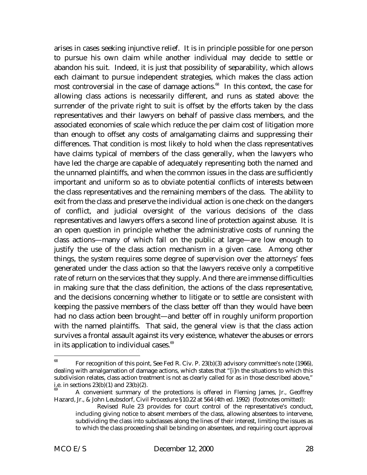arises in cases seeking injunctive relief. It is in principle possible for one person to pursue his own claim while another individual may decide to settle or abandon his suit. Indeed, it is just that possibility of separability, which allows each claimant to pursue independent strategies, which makes the class action most controversial in the case of damage actions.<sup>68</sup> In this context, the case for allowing class actions is necessarily different, and runs as stated above: the surrender of the private right to suit is offset by the efforts taken by the class representatives and their lawyers on behalf of passive class members, and the associated economies of scale which reduce the per claim cost of litigation more than enough to offset any costs of amalgamating claims and suppressing their differences. That condition is most likely to hold when the class representatives have claims typical of members of the class generally, when the lawyers who have led the charge are capable of adequately representing both the named and the unnamed plaintiffs, and when the common issues in the class are sufficiently important and uniform so as to obviate potential conflicts of interests between the class representatives and the remaining members of the class. The ability to exit from the class and preserve the individual action is one check on the dangers of conflict, and judicial oversight of the various decisions of the class representatives and lawyers offers a second line of protection against abuse. It is an open question in principle whether the administrative costs of running the class actions—many of which fall on the public at large—are low enough to justify the use of the class action mechanism in a given case. Among other things, the system requires some degree of supervision over the attorneys' fees generated under the class action so that the lawyers receive only a competitive rate of return on the services that they supply. And there are immense difficulties in making sure that the class definition, the actions of the class representative, and the decisions concerning whether to litigate or to settle are consistent with keeping the passive members of the class better off than they would have been had no class action been brought—and better off in roughly uniform proportion with the named plaintiffs. That said, the general view is that the class action survives a frontal assault against its very existence, whatever the abuses or errors in its application to individual cases.<sup>69</sup>

 $\bf{68}$ For recognition of this point, See Fed R. Civ. P. 23(b)(3) advisory committee's note (1966), dealing with amalgamation of damage actions, which states that "[i]n the situations to which this subdivision relates, class action treatment is not as clearly called for as in those described above," i.e. in sections 23(b)(1) and 23(b)(2).

A convenient summary of the protections is offered in Fleming James, Jr., Geoffrey Hazard, Jr., & John Leubsdorf, Civil Procedure §10.22 at 564 (4th ed. 1992) (footnotes omitted):

Revised Rule 23 provides for court control of the representative's conduct, including giving notice to absent members of the class, allowing absentees to intervene, subdividing the class into subclasses along the lines of their interest, limiting the issues as to which the class proceeding shall be binding on absentees, and requiring court approval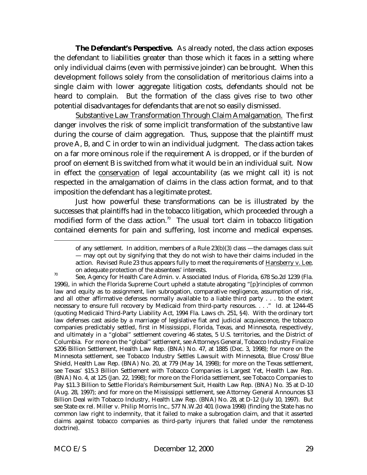**The Defendant's Perspective.** As already noted, the class action exposes the defendant to liabilities greater than those which it faces in a setting where only individual claims (even with permissive joinder) can be brought. When this development follows solely from the consolidation of meritorious claims into a single claim with lower aggregate litigation costs, defendants should not be heard to complain. But the formation of the class gives rise to two other potential disadvantages for defendants that are not so easily dismissed.

Substantive Law Transformation Through Claim Amalgamation. The first danger involves the risk of some implicit transformation of the substantive law during the course of claim aggregation. Thus, suppose that the plaintiff must prove A, B, and C in order to win an individual judgment. The class action takes on a far more ominous role if the requirement A is dropped, or if the burden of proof on element B is switched from what it would be in an individual suit. Now in effect the conservation of legal accountability (as we might call it) is not respected in the amalgamation of claims in the class action format, and to that imposition the defendant has a legitimate protest.

Just how powerful these transformations can be is illustrated by the successes that plaintiffs had in the tobacco litigation, which proceeded through a modified form of the class action.<sup>70</sup> The usual tort claim in tobacco litigation contained elements for pain and suffering, lost income and medical expenses.

 $\overline{a}$ 

of any settlement. In addition, members of a Rule 23(b)(3) class —the damages class suit — may opt out by signifying that they do not wish to have their claims included in the action. Revised Rule 23 thus appears fully to meet the requirements of Hansberry v. Lee, on adequate protection of the absentees' interests.<br><sup>70</sup> See, Agency for Health Care Admin. v. Associated Indus. of Florida, 678 So.2d 1239 (Fla.

<sup>1996),</sup> in which the Florida Supreme Court upheld a statute abrogating "[p]rinciples of common law and equity as to assignment, lien subrogation, comparative negligence, assumption of risk, and all other affirmative defenses normally available to a liable third party . . . to the extent necessary to ensure full recovery by Medicaid from third-party resources. . . ." Id. at 1244-45 (quoting Medicaid Third-Party Liability Act, 1994 Fla. Laws ch. 251, §4). With the ordinary tort law defenses cast aside by a marriage of legislative fiat and judicial acquiescence, the tobacco companies predictably settled, first in Mississippi, Florida, Texas, and Minnesota, respectively, and ultimately in a "global" settlement covering 46 states, 5 U.S. territories, and the District of Columbia. For more on the "global" settlement, see Attorneys General, Tobacco Industry Finalize \$206 Billion Settlement, Health Law Rep. (BNA) No. 47, at 1885 (Dec. 3, 1998); for more on the Minnesota settlement, see Tobacco Industry Settles Lawsuit with Minnesota, Blue Cross/Blue Shield, Health Law Rep. (BNA) No. 20, at 779 (May 14, 1998); for more on the Texas settlement, see Texas' \$15.3 Billion Settlement with Tobacco Companies is Largest Yet, Health Law Rep. (BNA) No. 4, at 125 (Jan. 22, 1998); for more on the Florida settlement, see Tobacco Companies to Pay \$11.3 Billion to Settle Florida's Reimbursement Suit, Health Law Rep. (BNA) No. 35 at D-10 (Aug. 28, 1997); and for more on the Mississippi settlement, see Attorney General Announces \$3 Billion Deal with Tobacco Industry, Health Law Rep. (BNA) No. 28, at D-12 (July 10, 1997). But see State ex rel. Miller v. Philip Morris Inc., 577 N.W.2d 401 (Iowa 1998) (finding the State has no common law right to indemnity, that it failed to make a subrogation claim, and that it asserted claims against tobacco companies as third-party injurers that failed under the remoteness doctrine).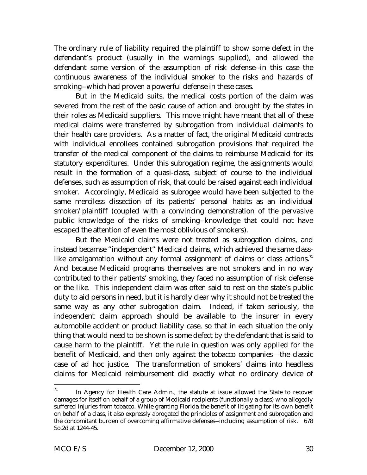The ordinary rule of liability required the plaintiff to show some defect in the defendant's product (usually in the warnings supplied), and allowed the defendant some version of the assumption of risk defense--in this case the continuous awareness of the individual smoker to the risks and hazards of smoking--which had proven a powerful defense in these cases.

But in the Medicaid suits, the medical costs portion of the claim was severed from the rest of the basic cause of action and brought by the states in their roles as Medicaid suppliers. This move might have meant that all of these medical claims were transferred by subrogation from individual claimants to their health care providers. As a matter of fact, the original Medicaid contracts with individual enrollees contained subrogation provisions that required the transfer of the medical component of the claims to reimburse Medicaid for its statutory expenditures. Under this subrogation regime, the assignments would result in the formation of a quasi-class, subject of course to the individual defenses, such as assumption of risk, that could be raised against each individual smoker. Accordingly, Medicaid as subrogee would have been subjected to the same merciless dissection of its patients' personal habits as an individual smoker/plaintiff (coupled with a convincing demonstration of the pervasive public knowledge of the risks of smoking--knowledge that could not have escaped the attention of even the most oblivious of smokers).

But the Medicaid claims were not treated as subrogation claims, and instead becamse "independent" Medicaid claims, which achieved the same classlike amalgamation without any formal assignment of claims or class actions.<sup>71</sup> And because Medicaid programs themselves are not smokers and in no way contributed to their patients' smoking, they faced no assumption of risk defense or the like. This independent claim was often said to rest on the state's public duty to aid persons in need, but it is hardly clear why it should not be treated the same way as any other subrogation claim. Indeed, if taken seriously, the independent claim approach should be available to the insurer in every automobile accident or product liability case, so that in each situation the only thing that would need to be shown is some defect by the defendant that is said to cause harm to the plaintiff. Yet the rule in question was only applied for the benefit of Medicaid, and then only against the tobacco companies—the classic case of ad hoc justice. The transformation of smokers' claims into headless claims for Medicaid reimbursement did exactly what no ordinary device of

<sup>71</sup> In Agency for Health Care Admin., the statute at issue allowed the State to recover damages for itself on behalf of a group of Medicaid recipients (functionally a class) who allegedly suffered injuries from tobacco. While granting Florida the benefit of litigating for its own benefit on behalf of a class, it also expressly abrogated the principles of assignment and subrogation and the concomitant burden of overcoming affirmative defenses--including assumption of risk. 678 So.2d at 1244-45.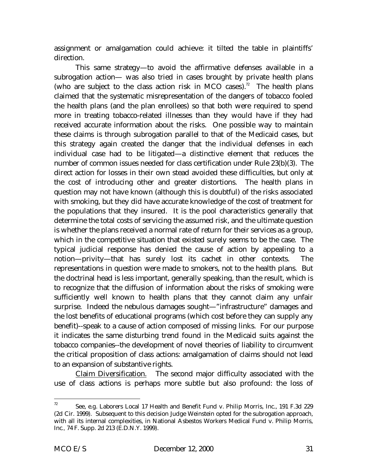assignment or amalgamation could achieve: it tilted the table in plaintiffs' direction.

This same strategy—to avoid the affirmative defenses available in a subrogation action— was also tried in cases brought by private health plans (who are subject to the class action risk in MCO cases). $\frac{1}{12}$  The health plans claimed that the systematic misrepresentation of the dangers of tobacco fooled the health plans (and the plan enrollees) so that both were required to spend more in treating tobacco-related illnesses than they would have if they had received accurate information about the risks. One possible way to maintain these claims is through subrogation parallel to that of the Medicaid cases, but this strategy again created the danger that the individual defenses in each individual case had to be litigated—a distinctive element that reduces the number of common issues needed for class certification under Rule 23(b)(3). The direct action for losses in their own stead avoided these difficulties, but only at the cost of introducing other and greater distortions. The health plans in question may not have known (although this is doubtful) of the risks associated with smoking, but they did have accurate knowledge of the cost of treatment for the populations that they insured. It is the pool characteristics generally that determine the total costs of servicing the assumed risk, and the ultimate question is whether the plans received a normal rate of return for their services as a group, which in the competitive situation that existed surely seems to be the case. The typical judicial response has denied the cause of action by appealing to a notion—privity—that has surely lost its cachet in other contexts. The representations in question were made to smokers, not to the health plans. But the doctrinal head is less important, generally speaking, than the result, which is to recognize that the diffusion of information about the risks of smoking were sufficiently well known to health plans that they cannot claim any unfair surprise. Indeed the nebulous damages sought—"infrastructure" damages and the lost benefits of educational programs (which cost before they can supply any benefit)--speak to a cause of action composed of missing links. For our purpose it indicates the same disturbing trend found in the Medicaid suits against the tobacco companies--the development of novel theories of liability to circumvent the critical proposition of class actions: amalgamation of claims should not lead to an expansion of substantive rights.

Claim Diversification. The second major difficulty associated with the use of class actions is perhaps more subtle but also profound: the loss of

 $72\,$ 72 See, e.g. Laborers Local 17 Health and Benefit Fund v. Philip Morris, Inc., 191 F.3d 229 (2d Cir. 1999). Subsequent to this decision Judge Weinstein opted for the subrogation approach, with all its internal complexities, in National Asbestos Workers Medical Fund v. Philip Morris, Inc*.,* 74 F. Supp. 2d 213 (E.D.N.Y. 1999).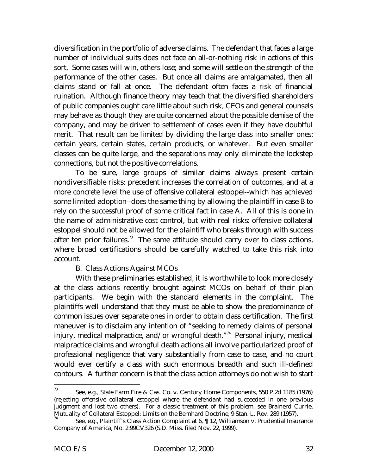diversification in the portfolio of adverse claims. The defendant that faces a large number of individual suits does not face an all-or-nothing risk in actions of this sort. Some cases will win, others lose; and some will settle on the strength of the performance of the other cases. But once all claims are amalgamated, then all claims stand or fall at once. The defendant often faces a risk of financial ruination. Although finance theory may teach that the diversified shareholders of public companies ought care little about such risk, CEOs and general counsels may behave as though they are quite concerned about the possible demise of the company, and may be driven to settlement of cases even if they have doubtful merit. That result can be limited by dividing the large class into smaller ones: certain years, certain states, certain products, or whatever. But even smaller classes can be quite large, and the separations may only eliminate the lockstep connections, but not the positive correlations.

To be sure, large groups of similar claims always present certain nondiversifiable risks: precedent increases the correlation of outcomes, and at a more concrete level the use of offensive collateral estoppel--which has achieved some limited adoption--does the same thing by allowing the plaintiff in case B to rely on the successful proof of some critical fact in case A. All of this is done in the name of administrative cost control, but with real risks: offensive collateral estoppel should not be allowed for the plaintiff who breaks through with success after ten prior failures.<sup>73</sup> The same attitude should carry over to class actions, where broad certifications should be carefully watched to take this risk into account.

#### B. Class Actions Against MCOs

With these preliminaries established, it is worthwhile to look more closely at the class actions recently brought against MCOs on behalf of their plan participants. We begin with the standard elements in the complaint. The plaintiffs well understand that they must be able to show the predominance of common issues over separate ones in order to obtain class certification. The first maneuver is to disclaim any intention of "seeking to remedy claims of personal injury, medical malpractice, and/or wrongful death."74 Personal injury, medical malpractice claims and wrongful death actions all involve particularized proof of professional negligence that vary substantially from case to case, and no court would ever certify a class with such enormous breadth and such ill-defined contours. A further concern is that the class action attorneys do not wish to start

<sup>73</sup> See, e.g., State Farm Fire & Cas. Co. v. Century Home Components, 550 P.2d 1185 (1976) (rejecting offensive collateral estoppel where the defendant had succeeded in one previous judgment and lost two others). For a classic treatment of this problem, see Brainerd Currie, Mutuality of Collateral Estoppel: Limits on the Bernhard Doctrine, 9 Stan. L. Rev. 289 (1957).

See, e.g., Plaintiff's Class Action Complaint at 6,  $\P$  12, Williamson v. Prudential Insurance Company of America, No. 2:99CV326 (S.D. Miss. filed Nov. 22, 1999).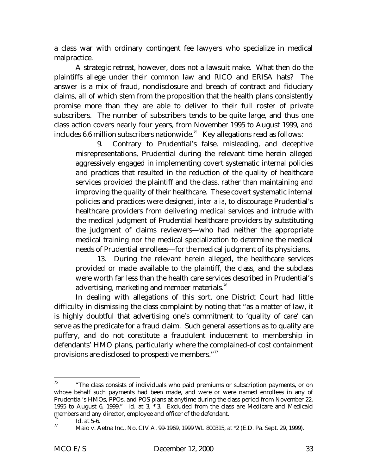a class war with ordinary contingent fee lawyers who specialize in medical malpractice.

A strategic retreat, however, does not a lawsuit make. What then do the plaintiffs allege under their common law and RICO and ERISA hats? The answer is a mix of fraud, nondisclosure and breach of contract and fiduciary claims, all of which stem from the proposition that the health plans consistently promise more than they are able to deliver to their full roster of private subscribers. The number of subscribers tends to be quite large, and thus one class action covers nearly four years, from November 1995 to August 1999, and includes 6.6 million subscribers nationwide.<sup>75</sup> Key allegations read as follows:

9. Contrary to Prudential's false, misleading, and deceptive misrepresentations, Prudential during the relevant time herein alleged aggressively engaged in implementing covert systematic internal policies and practices that resulted in the reduction of the quality of healthcare services provided the plaintiff and the class, rather than maintaining and improving the quality of their healthcare. These covert systematic internal policies and practices were designed, *inter alia*, to discourage Prudential's healthcare providers from delivering medical services and intrude with the medical judgment of Prudential healthcare providers by substituting the judgment of claims reviewers—who had neither the appropriate medical training nor the medical specialization to determine the medical needs of Prudential enrollees—for the medical judgment of its physicians.

13. During the relevant herein alleged, the healthcare services provided or made available to the plaintiff, the class, and the subclass were worth far less than the health care services described in Prudential's advertising, marketing and member materials. $^{76}$ 

In dealing with allegations of this sort, one District Court had little difficulty in dismissing the class complaint by noting that "as a matter of law, it is highly doubtful that advertising one's commitment to 'quality of care' can serve as the predicate for a fraud claim. Such general assertions as to quality are puffery, and do not constitute a fraudulent inducement to membership in defendants' HMO plans, particularly where the complained-of cost containment provisions are disclosed to prospective members."<sup>77</sup>

 $75$ 75 "The class consists of individuals who paid premiums or subscription payments, or on whose behalf such payments had been made, and were or were named enrollees in any of Prudential's HMOs, PPOs, and POS plans at anytime during the class period from November 22, 1995 to August 6, 1999." Id. at 3, ¶3. Excluded from the class are Medicare and Medicaid members and any director, employee and officer of the defendant.

<sup>&</sup>lt;sup>76</sup> Id. at 5-6.<br><sup>77</sup> Maio v. Aetna Inc., No. CIV.A. 99-1969, 1999 WL 800315, at \*2 (E.D. Pa. Sept. 29, 1999).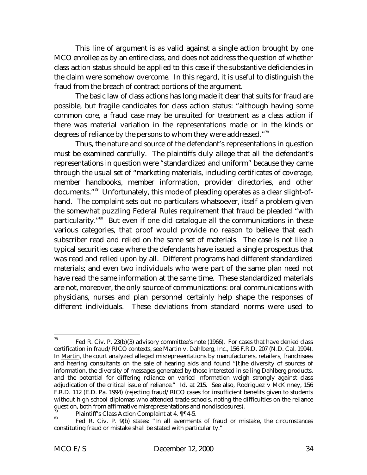This line of argument is as valid against a single action brought by one MCO enrollee as by an entire class, and does not address the question of whether class action status should be applied to this case if the substantive deficiencies in the claim were somehow overcome. In this regard, it is useful to distinguish the fraud from the breach of contract portions of the argument.

The basic law of class actions has long made it clear that suits for fraud are possible, but fragile candidates for class action status: "although having some common core, a fraud case may be unsuited for treatment as a class action if there was material variation in the representations made or in the kinds or degrees of reliance by the persons to whom they were addressed." $38$ 

Thus, the nature and source of the defendant's representations in question must be examined carefully. The plaintiffs duly allege that all the defendant's representations in question were "standardized and uniform" because they came through the usual set of "marketing materials, including certificates of coverage, member handbooks, member information, provider directories, and other documents."79 Unfortunately, this mode of pleading operates as a clear slight-ofhand. The complaint sets out no particulars whatsoever, itself a problem given the somewhat puzzling Federal Rules requirement that fraud be pleaded "with particularity."80 But even if one did catalogue all the communications in these various categories, that proof would provide no reason to believe that each subscriber read and relied on the same set of materials. The case is not like a typical securities case where the defendants have issued a single prospectus that was read and relied upon by all. Different programs had different standardized materials; and even two individuals who were part of the same plan need not have read the same information at the same time. These standardized materials are not, moreover, the only source of communications: oral communications with physicians, nurses and plan personnel certainly help shape the responses of different individuals. These deviations from standard norms were used to

<sup>78</sup> Fed R. Civ. P. 23(b)(3) advisory committee's note (1966). For cases that have denied class certification in fraud/RICO contexts, see Martin v. Dahlberg, Inc., 156 F.R.D. 207 (N.D. Cal. 1994). In Martin, the court analyzed alleged misrepresentations by manufacturers, retailers, franchisees and hearing consultants on the sale of hearing aids and found "[t]he diversity of sources of information, the diversity of messages generated by those interested in selling Dahlberg products, and the potential for differing reliance on varied information weigh strongly against class adjudication of the critical issue of reliance." Id. at 215. See also, Rodriguez v McKinney, 156 F.R.D. 112 (E.D. Pa. 1994) (rejecting fraud/RICO cases for insufficient benefits given to students without high school diplomas who attended trade schools, noting the difficulties on the reliance question, both from affirmative misrepresentations and nondisclosures).

 $^{79}$  Plaintiff's Class Action Complaint at 4, ¶¶4-5.

Fed R. Civ. P. 9(b) states: "In all averments of fraud or mistake, the circumstances constituting fraud or mistake shall be stated with particularity."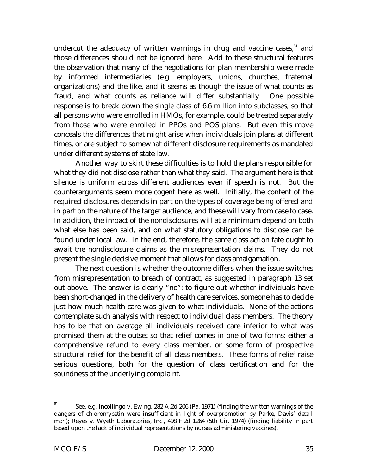undercut the adequacy of written warnings in drug and vaccine cases, $81$  and those differences should not be ignored here. Add to these structural features the observation that many of the negotiations for plan membership were made by informed intermediaries (e.g. employers, unions, churches, fraternal organizations) and the like, and it seems as though the issue of what counts as fraud, and what counts as reliance will differ substantially. One possible response is to break down the single class of 6.6 million into subclasses, so that all persons who were enrolled in HMOs, for example, could be treated separately from those who were enrolled in PPOs and POS plans. But even this move conceals the differences that might arise when individuals join plans at different times, or are subject to somewhat different disclosure requirements as mandated under different systems of state law.

Another way to skirt these difficulties is to hold the plans responsible for what they did not disclose rather than what they said. The argument here is that silence is uniform across different audiences even if speech is not. But the counterarguments seem more cogent here as well. Initially, the content of the required disclosures depends in part on the types of coverage being offered and in part on the nature of the target audience, and these will vary from case to case. In addition, the impact of the nondisclosures will at a minimum depend on both what else has been said, and on what statutory obligations to disclose can be found under local law. In the end, therefore, the same class action fate ought to await the nondisclosure claims as the misrepresentation claims. They do not present the single decisive moment that allows for class amalgamation.

The next question is whether the outcome differs when the issue switches from misrepresentation to breach of contract, as suggested in paragraph 13 set out above. The answer is clearly "no": to figure out whether individuals have been short-changed in the delivery of health care services, someone has to decide just how much health care was given to what individuals. None of the actions contemplate such analysis with respect to individual class members. The theory has to be that on average all individuals received care inferior to what was promised them at the outset so that relief comes in one of two forms: either a comprehensive refund to every class member, or some form of prospective structural relief for the benefit of all class members. These forms of relief raise serious questions, both for the question of class certification and for the soundness of the underlying complaint.

<sup>81</sup> 81 See, e.g, Incollingo v. Ewing, 282 A.2d 206 (Pa. 1971) (finding the written warnings of the dangers of chloromycetin were insufficient in light of overpromotion by Parke, Davis' detail man); Reyes v. Wyeth Laboratories, Inc., 498 F.2d 1264 (5th Cir. 1974) (finding liability in part based upon the lack of individual representations by nurses administering vaccines).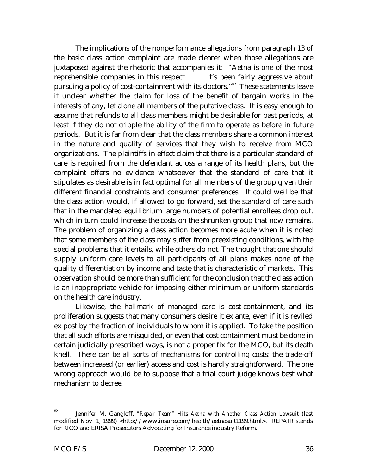The implications of the nonperformance allegations from paragraph 13 of the basic class action complaint are made clearer when those allegations are juxtaposed against the rhetoric that accompanies it: "Aetna is one of the most reprehensible companies in this respect. . . . It's been fairly aggressive about pursuing a policy of cost-containment with its doctors."82 These statements leave it unclear whether the claim for loss of the benefit of bargain works in the interests of any, let alone all members of the putative class. It is easy enough to assume that refunds to all class members might be desirable for past periods, at least if they do not cripple the ability of the firm to operate as before in future periods. But it is far from clear that the class members share a common interest in the nature and quality of services that they wish to receive from MCO organizations. The plaintiffs in effect claim that there is a particular standard of care is required from the defendant across a range of its health plans, but the complaint offers no evidence whatsoever that the standard of care that it stipulates as desirable is in fact optimal for all members of the group given their different financial constraints and consumer preferences. It could well be that the class action would, if allowed to go forward, set the standard of care such that in the mandated equilibrium large numbers of potential enrollees drop out, which in turn could increase the costs on the shrunken group that now remains. The problem of organizing a class action becomes more acute when it is noted that some members of the class may suffer from preexisting conditions, with the special problems that it entails, while others do not. The thought that one should supply uniform care levels to all participants of all plans makes none of the quality differentiation by income and taste that is characteristic of markets. This observation should be more than sufficient for the conclusion that the class action is an inappropriate vehicle for imposing either minimum or uniform standards on the health care industry.

Likewise, the hallmark of managed care is cost-containment, and its proliferation suggests that many consumers desire it ex ante, even if it is reviled ex post by the fraction of individuals to whom it is applied. To take the position that all such efforts are misguided, or even that cost containment must be done in certain judicially prescribed ways, is not a proper fix for the MCO, but its death knell. There can be all sorts of mechanisms for controlling costs: the trade-off between increased (or earlier) access and cost is hardly straightforward. The one wrong approach would be to suppose that a trial court judge knows best what mechanism to decree.

 $\overline{a}$ 

<sup>82</sup> Jennifer M. Gangloff, *"Repair Team" Hits Aetna with Another Class Action Lawsuit* (last modified Nov. 1, 1999) <http://www.insure.com/health/aetnasuit1199.html>. REPAIR stands for RICO and ERISA Prosecutors Advocating for Insurance industry Reform.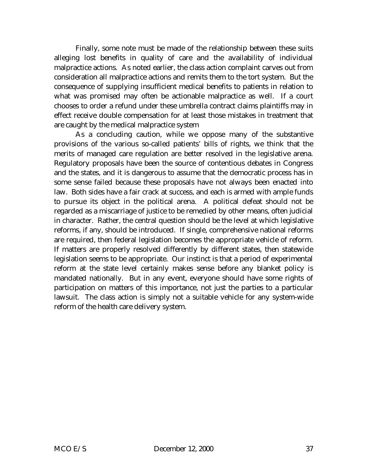Finally, some note must be made of the relationship between these suits alleging lost benefits in quality of care and the availability of individual malpractice actions. As noted earlier, the class action complaint carves out from consideration all malpractice actions and remits them to the tort system. But the consequence of supplying insufficient medical benefits to patients in relation to what was promised may often be actionable malpractice as well. If a court chooses to order a refund under these umbrella contract claims plaintiffs may in effect receive double compensation for at least those mistakes in treatment that are caught by the medical malpractice system

As a concluding caution, while we oppose many of the substantive provisions of the various so-called patients' bills of rights, we think that the merits of managed care regulation are better resolved in the legislative arena. Regulatory proposals have been the source of contentious debates in Congress and the states, and it is dangerous to assume that the democratic process has in some sense failed because these proposals have not always been enacted into law. Both sides have a fair crack at success, and each is armed with ample funds to pursue its object in the political arena. A political defeat should not be regarded as a miscarriage of justice to be remedied by other means, often judicial in character. Rather, the central question should be the level at which legislative reforms, if any, should be introduced. If single, comprehensive national reforms are required, then federal legislation becomes the appropriate vehicle of reform. If matters are properly resolved differently by different states, then statewide legislation seems to be appropriate. Our instinct is that a period of experimental reform at the state level certainly makes sense before any blanket policy is mandated nationally. But in any event, everyone should have some rights of participation on matters of this importance, not just the parties to a particular lawsuit. The class action is simply not a suitable vehicle for any system-wide reform of the health care delivery system.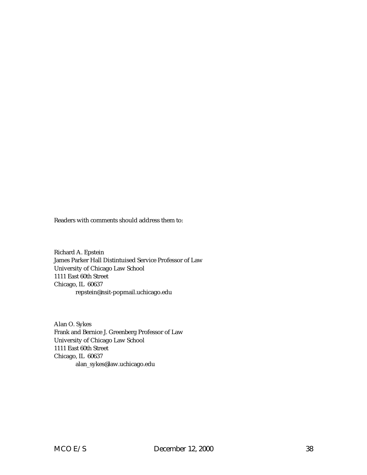Readers with comments should address them to:

Richard A. Epstein James Parker Hall Distintuised Service Professor of Law University of Chicago Law School 1111 East 60th Street Chicago, IL 60637 repstein@nsit-popmail.uchicago.edu

Alan O. Sykes Frank and Bernice J. Greenberg Professor of Law University of Chicago Law School 1111 East 60th Street Chicago, IL 60637 alan\_sykes@law.uchicago.edu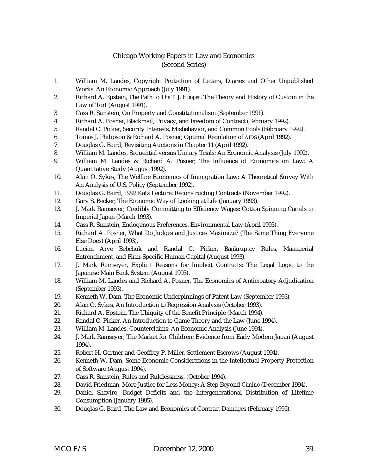#### Chicago Working Papers in Law and Economics (Second Series)

- 1. William M. Landes, Copyright Protection of Letters, Diaries and Other Unpublished Works: An Economic Approach (July 1991).
- 2. Richard A. Epstein, The Path to *The T. J. Hooper*: The Theory and History of Custom in the Law of Tort (August 1991).
- 3. Cass R. Sunstein, On Property and Constitutionalism (September 1991).
- 4. Richard A. Posner, Blackmail, Privacy, and Freedom of Contract (February 1992).
- 5. Randal C. Picker, Security Interests, Misbehavior, and Common Pools (February 1992).
- 6. Tomas J. Philipson & Richard A. Posner, Optimal Regulation of AIDS (April 1992).
- 7. Douglas G. Baird, Revisiting Auctions in Chapter 11 (April 1992).
- 8. William M. Landes, Sequential versus Unitary Trials: An Economic Analysis (July 1992).
- 9. William M. Landes & Richard A. Posner, The Influence of Economics on Law: A Quantitative Study (August 1992).
- 10. Alan O. Sykes, The Welfare Economics of Immigration Law: A Theoretical Survey With An Analysis of U.S. Policy (September 1992).
- 11. Douglas G. Baird, 1992 Katz Lecture: Reconstructing Contracts (November 1992).
- 12. Gary S. Becker, The Economic Way of Looking at Life (January 1993).
- 13. J. Mark Ramseyer, Credibly Committing to Efficiency Wages: Cotton Spinning Cartels in Imperial Japan (March 1993).
- 14. Cass R. Sunstein, Endogenous Preferences, Environmental Law (April 1993).
- 15. Richard A. Posner, What Do Judges and Justices Maximize? (The Same Thing Everyone Else Does) (April 1993).
- 16. Lucian Arye Bebchuk and Randal C. Picker, Bankruptcy Rules, Managerial Entrenchment, and Firm-Specific Human Capital (August 1993).
- 17. J. Mark Ramseyer, Explicit Reasons for Implicit Contracts: The Legal Logic to the Japanese Main Bank System (August 1993).
- 18. William M. Landes and Richard A. Posner, The Economics of Anticipatory Adjudication (September 1993).
- 19. Kenneth W. Dam, The Economic Underpinnings of Patent Law (September 1993).
- 20. Alan O. Sykes, An Introduction to Regression Analysis (October 1993).
- 21. Richard A. Epstein, The Ubiquity of the Benefit Principle (March 1994).
- 22. Randal C. Picker, An Introduction to Game Theory and the Law (June 1994).
- 23. William M. Landes, Counterclaims: An Economic Analysis (June 1994).
- 24. J. Mark Ramseyer, The Market for Children: Evidence from Early Modern Japan (August 1994).
- 25. Robert H. Gertner and Geoffrey P. Miller, Settlement Escrows (August 1994).
- 26. Kenneth W. Dam, Some Economic Considerations in the Intellectual Property Protection of Software (August 1994).
- 27. Cass R. Sunstein, Rules and Rulelessness, (October 1994).
- 28. David Friedman, More Justice for Less Money: A Step Beyond *Cimino* (December 1994).
- 29. Daniel Shaviro, Budget Deficits and the Intergenerational Distribution of Lifetime Consumption (January 1995).
- 30. Douglas G. Baird, The Law and Economics of Contract Damages (February 1995).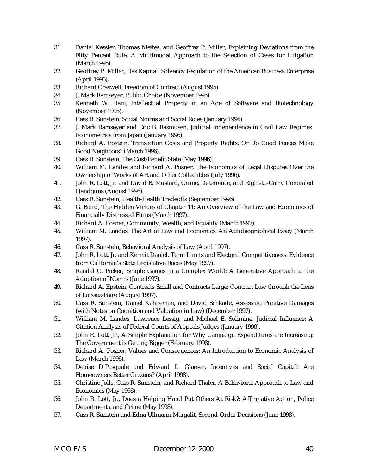- 31. Daniel Kessler, Thomas Meites, and Geoffrey P. Miller, Explaining Deviations from the Fifty Percent Rule: A Multimodal Approach to the Selection of Cases for Litigation (March 1995).
- 32. Geoffrey P. Miller, Das Kapital: Solvency Regulation of the American Business Enterprise (April 1995).
- 33. Richard Craswell, Freedom of Contract (August 1995).
- 34. J. Mark Ramseyer, Public Choice (November 1995).
- 35. Kenneth W. Dam, Intellectual Property in an Age of Software and Biotechnology (November 1995).
- 36. Cass R. Sunstein, Social Norms and Social Roles (January 1996).
- 37. J. Mark Ramseyer and Eric B. Rasmusen, Judicial Independence in Civil Law Regimes: Econometrics from Japan (January 1996).
- 38. Richard A. Epstein, Transaction Costs and Property Rights: Or Do Good Fences Make Good Neighbors? (March 1996).
- 39. Cass R. Sunstein, The Cost-Benefit State (May 1996).
- 40. William M. Landes and Richard A. Posner, The Economics of Legal Disputes Over the Ownership of Works of Art and Other Collectibles (July 1996).
- 41. John R. Lott, Jr. and David B. Mustard, Crime, Deterrence, and Right-to-Carry Concealed Handguns (August 1996).
- 42. Cass R. Sunstein, Health-Health Tradeoffs (September 1996).
- 43. G. Baird, The Hidden Virtues of Chapter 11: An Overview of the Law and Economics of Financially Distressed Firms (March 1997).
- 44. Richard A. Posner, Community, Wealth, and Equality (March 1997).
- 45. William M. Landes, The Art of Law and Economics: An Autobiographical Essay (March 1997).
- 46. Cass R. Sunstein, Behavioral Analysis of Law (April 1997).
- 47. John R. Lott, Jr. and Kermit Daniel, Term Limits and Electoral Competitiveness: Evidence from California's State Legislative Races (May 1997).
- 48. Randal C. Picker, Simple Games in a Complex World: A Generative Approach to the Adoption of Norms (June 1997).
- 49. Richard A. Epstein, Contracts Small and Contracts Large: Contract Law through the Lens of Laissez-Faire (August 1997).
- 50. Cass R. Sunstein, Daniel Kahneman, and David Schkade, Assessing Punitive Damages (with Notes on Cognition and Valuation in Law) (December 1997).
- 51. William M. Landes, Lawrence Lessig, and Michael E. Solimine, Judicial Influence: A Citation Analysis of Federal Courts of Appeals Judges (January 1998).
- 52. John R. Lott, Jr., A Simple Explanation for Why Campaign Expenditures are Increasing: The Government is Getting Bigger (February 1998).
- 53. Richard A. Posner, Values and Consequences: An Introduction to Economic Analysis of Law (March 1998).
- 54. Denise DiPasquale and Edward L. Glaeser, Incentives and Social Capital: Are Homeowners Better Citizens? (April 1998).
- 55. Christine Jolls, Cass R. Sunstein, and Richard Thaler, A Behavioral Approach to Law and Economics (May 1998).
- 56. John R. Lott, Jr., Does a Helping Hand Put Others At Risk?: Affirmative Action, Police Departments, and Crime (May 1998).
- 57. Cass R. Sunstein and Edna Ullmann-Margalit, Second-Order Decisions (June 1998).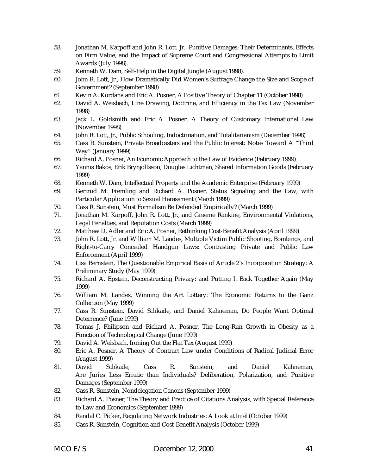- 58. Jonathan M. Karpoff and John R. Lott, Jr., Punitive Damages: Their Determinants, Effects on Firm Value, and the Impact of Supreme Court and Congressional Attempts to Limit Awards (July 1998).
- 59. Kenneth W. Dam, Self-Help in the Digital Jungle (August 1998).
- 60. John R. Lott, Jr., How Dramatically Did Women's Suffrage Change the Size and Scope of Government? (September 1998)
- 61. Kevin A. Kordana and Eric A. Posner, A Positive Theory of Chapter 11 (October 1998)
- 62. David A. Weisbach, Line Drawing, Doctrine, and Efficiency in the Tax Law (November 1998)
- 63. Jack L. Goldsmith and Eric A. Posner, A Theory of Customary International Law (November 1998)
- 64. John R. Lott, Jr., Public Schooling, Indoctrination, and Totalitarianism (December 1998)
- 65. Cass R. Sunstein, Private Broadcasters and the Public Interest: Notes Toward A "Third Way" (January 1999)
- 66. Richard A. Posner, An Economic Approach to the Law of Evidence (February 1999)
- 67. Yannis Bakos, Erik Brynjolfsson, Douglas Lichtman, Shared Information Goods (February 1999)
- 68. Kenneth W. Dam, Intellectual Property and the Academic Enterprise (February 1999)
- 69. Gertrud M. Fremling and Richard A. Posner, Status Signaling and the Law, with Particular Application to Sexual Harassment (March 1999)
- 70. Cass R. Sunstein, Must Formalism Be Defended Empirically? (March 1999)
- 71. Jonathan M. Karpoff, John R. Lott, Jr., and Graeme Rankine, Environmental Violations, Legal Penalties, and Reputation Costs (March 1999)
- 72. Matthew D. Adler and Eric A. Posner, Rethinking Cost-Benefit Analysis (April 1999)
- 73. John R. Lott, Jr. and William M. Landes, Multiple Victim Public Shooting, Bombings, and Right-to-Carry Concealed Handgun Laws: Contrasting Private and Public Law Enforcement (April 1999)
- 74. Lisa Bernstein, The Questionable Empirical Basis of Article 2's Incorporation Strategy: A Preliminary Study (May 1999)
- 75. Richard A. Epstein, Deconstructing Privacy: and Putting It Back Together Again (May 1999)
- 76. William M. Landes, Winning the Art Lottery: The Economic Returns to the Ganz Collection (May 1999)
- 77. Cass R. Sunstein, David Schkade, and Daniel Kahneman, Do People Want Optimal Deterrence? (June 1999)
- 78. Tomas J. Philipson and Richard A. Posner, The Long-Run Growth in Obesity as a Function of Technological Change (June 1999)
- 79. David A. Weisbach, Ironing Out the Flat Tax (August 1999)
- 80. Eric A. Posner, A Theory of Contract Law under Conditions of Radical Judicial Error (August 1999)
- 81. David Schkade, Cass R. Sunstein, and Daniel Kahneman, Are Juries Less Erratic than Individuals? Deliberation, Polarization, and Punitive Damages (September 1999)
- 82. Cass R. Sunstein, Nondelegation Canons (September 1999)
- 83. Richard A. Posner, The Theory and Practice of Citations Analysis, with Special Reference to Law and Economics (September 1999)
- 84. Randal C. Picker, Regulating Network Industries: A Look at *Intel* (October 1999)
- 85. Cass R. Sunstein, Cognition and Cost-Benefit Analysis (October 1999)